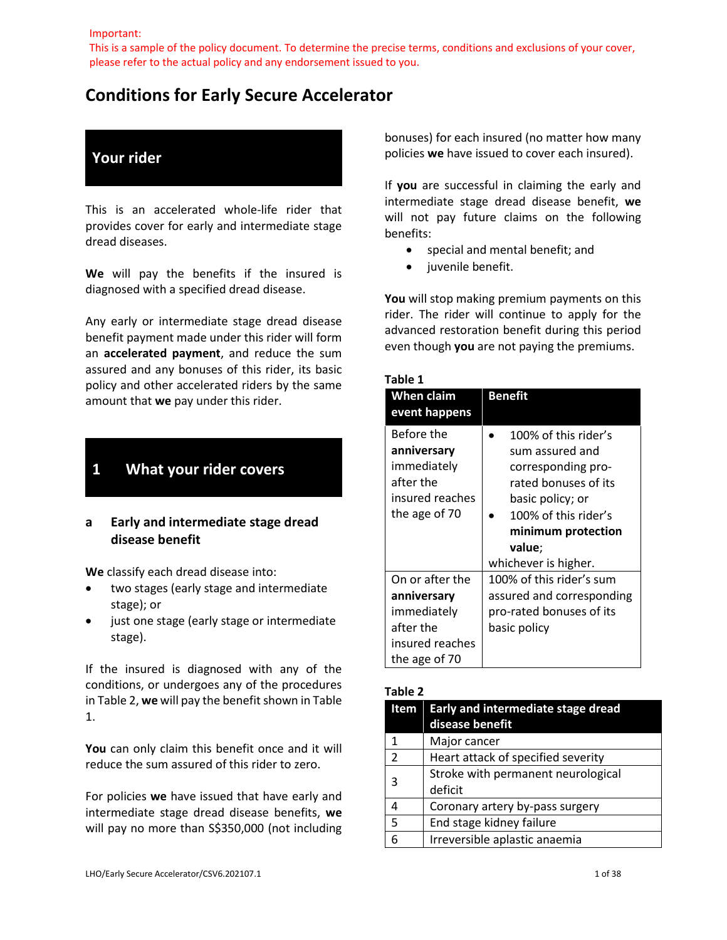Important:

This is a sample of the policy document. To determine the precise terms, conditions and exclusions of your cover, please refer to the actual policy and any endorsement issued to you.

## **Conditions for Early Secure Accelerator**

## **Your rider**

This is an accelerated whole-life rider that provides cover for early and intermediate stage dread diseases.

**We** will pay the benefits if the insured is diagnosed with a specified dread disease.

Any early or intermediate stage dread disease benefit payment made under this rider will form an **accelerated payment**, and reduce the sum assured and any bonuses of this rider, its basic policy and other accelerated riders by the same amount that **we** pay under this rider.

## **1 What your rider covers**

## **a Early and intermediate stage dread disease benefit**

**We** classify each dread disease into:

- two stages (early stage and intermediate stage); or
- just one stage (early stage or intermediate stage).

If the insured is diagnosed with any of the conditions, or undergoes any of the procedures in Table 2, **we** will pay the benefit shown in Table 1.

**You** can only claim this benefit once and it will reduce the sum assured of this rider to zero.

For policies **we** have issued that have early and intermediate stage dread disease benefits, **we** will pay no more than S\$350,000 (not including bonuses) for each insured (no matter how many policies **we** have issued to cover each insured).

If **you** are successful in claiming the early and intermediate stage dread disease benefit, **we** will not pay future claims on the following benefits:

- special and mental benefit; and
- juvenile benefit.

**You** will stop making premium payments on this rider. The rider will continue to apply for the advanced restoration benefit during this period even though **you** are not paying the premiums.

#### **Table 1**

| When claim<br>event happens                                                                    | Benefit                                                                                                                                                                                   |
|------------------------------------------------------------------------------------------------|-------------------------------------------------------------------------------------------------------------------------------------------------------------------------------------------|
| Before the<br>anniversary<br>immediately<br>after the<br>insured reaches<br>the age of 70      | 100% of this rider's<br>sum assured and<br>corresponding pro-<br>rated bonuses of its<br>basic policy; or<br>100% of this rider's<br>minimum protection<br>value;<br>whichever is higher. |
| On or after the<br>anniversary<br>immediately<br>after the<br>insured reaches<br>the age of 70 | 100% of this rider's sum<br>assured and corresponding<br>pro-rated bonuses of its<br>basic policy                                                                                         |

#### **Table 2**

| Item          | Early and intermediate stage dread<br>disease benefit |
|---------------|-------------------------------------------------------|
| 1             | Major cancer                                          |
| $\mathcal{P}$ | Heart attack of specified severity                    |
| 3             | Stroke with permanent neurological                    |
|               | deficit                                               |
| Δ             | Coronary artery by-pass surgery                       |
| 5             | End stage kidney failure                              |
|               | Irreversible aplastic anaemia                         |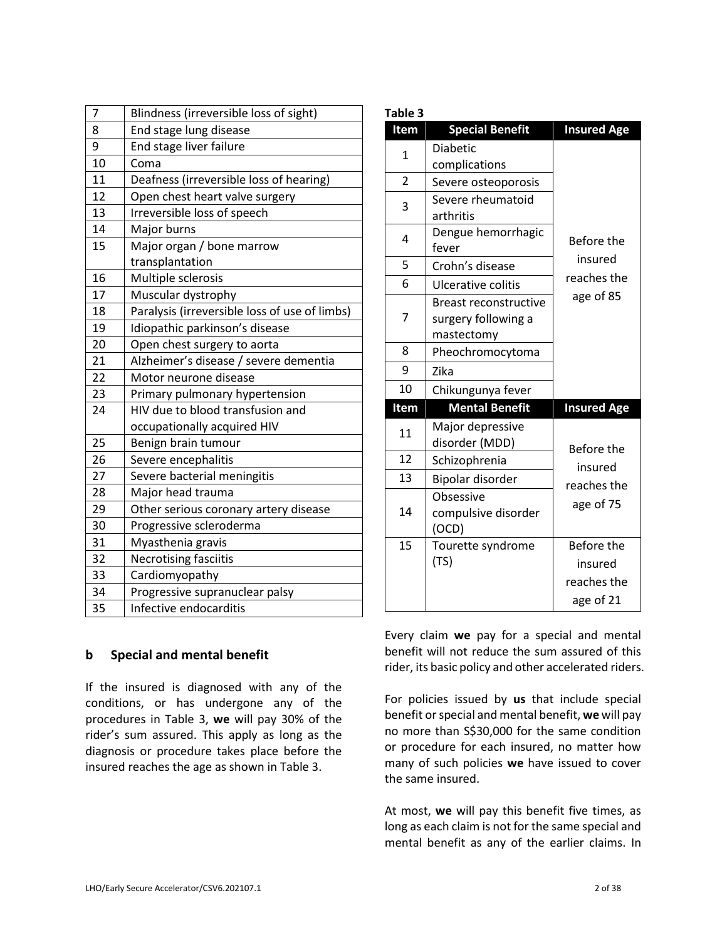| 7  | Blindness (irreversible loss of sight)        |
|----|-----------------------------------------------|
| 8  | End stage lung disease                        |
| 9  | End stage liver failure                       |
| 10 | Coma                                          |
| 11 | Deafness (irreversible loss of hearing)       |
| 12 | Open chest heart valve surgery                |
| 13 | Irreversible loss of speech                   |
| 14 | Major burns                                   |
| 15 | Major organ / bone marrow                     |
|    | transplantation                               |
| 16 | Multiple sclerosis                            |
| 17 | Muscular dystrophy                            |
| 18 | Paralysis (irreversible loss of use of limbs) |
| 19 | Idiopathic parkinson's disease                |
| 20 | Open chest surgery to aorta                   |
| 21 | Alzheimer's disease / severe dementia         |
| 22 | Motor neurone disease                         |
| 23 | Primary pulmonary hypertension                |
| 24 | HIV due to blood transfusion and              |
|    | occupationally acquired HIV                   |
| 25 | Benign brain tumour                           |
| 26 | Severe encephalitis                           |
| 27 | Severe bacterial meningitis                   |
| 28 | Major head trauma                             |
| 29 | Other serious coronary artery disease         |
| 30 | Progressive scleroderma                       |
| 31 | Myasthenia gravis                             |
| 32 | <b>Necrotising fasciitis</b>                  |
| 33 | Cardiomyopathy                                |
| 34 | Progressive supranuclear palsy                |
| 35 | Infective endocarditis                        |

| 5    | Crohn's disease              | insured            |
|------|------------------------------|--------------------|
| 6    | Ulcerative colitis           | reaches the        |
|      | <b>Breast reconstructive</b> | age of 85          |
| 7    | surgery following a          |                    |
|      | mastectomy                   |                    |
| 8    | Pheochromocytoma             |                    |
| 9    | Zika                         |                    |
| 10   | Chikungunya fever            |                    |
| Item | <b>Mental Benefit</b>        | <b>Insured Age</b> |
|      |                              |                    |
|      | Major depressive             |                    |
| 11   | disorder (MDD)               |                    |
| 12   | Schizophrenia                | Before the         |
| 13   | Bipolar disorder             | insured            |
|      | Obsessive                    | reaches the        |
| 14   | compulsive disorder          | age of 75          |
|      | (OCD)                        |                    |
| 15   | Tourette syndrome            | Before the         |
|      | (TS)                         | insured            |

**Item Special Benefit Insured Age**

Before the

**Table 3**

1

3

4

Diabetic complications

arthritis

fever

2 | Severe osteoporosis

Severe rheumatoid

Dengue hemorrhagic

## **b Special and mental benefit**

If the insured is diagnosed with any of the conditions, or has undergone any of the procedures in Table 3, **we** will pay 30% of the rider's sum assured. This apply as long as the diagnosis or procedure takes place before the insured reaches the age as shown in Table 3.

Every claim **we** pay for a special and mental benefit will not reduce the sum assured of this rider, its basic policy and other accelerated riders.

For policies issued by **us** that include special benefit or special and mental benefit, **we** will pay no more than S\$30,000 for the same condition or procedure for each insured, no matter how many of such policies **we** have issued to cover the same insured.

At most, **we** will pay this benefit five times, as long as each claim is not for the same special and mental benefit as any of the earlier claims. In

age of 21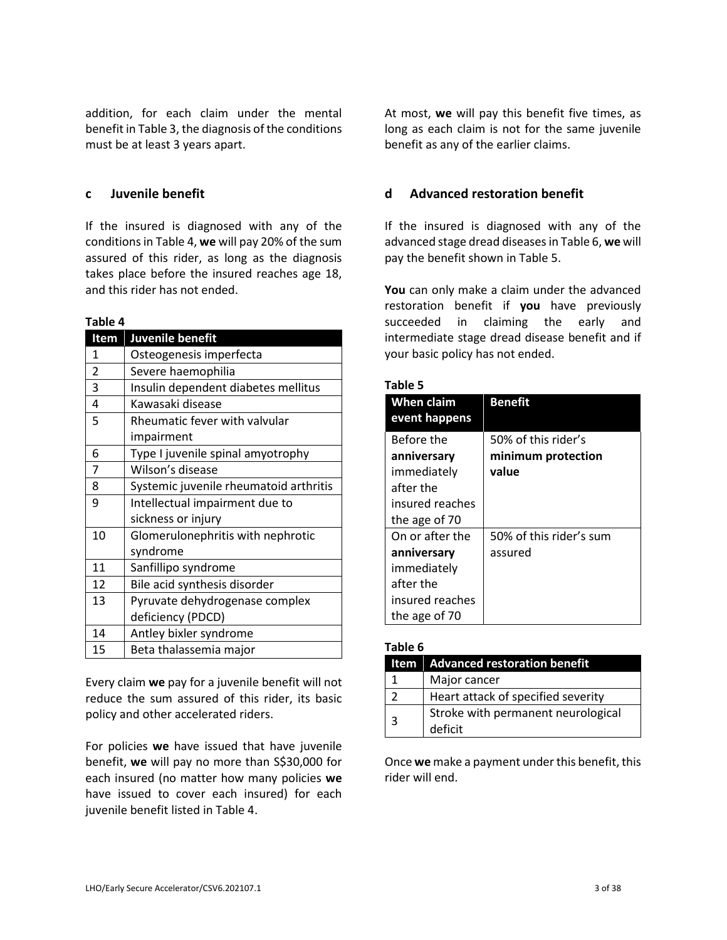addition, for each claim under the mental benefit in Table 3, the diagnosis of the conditions must be at least 3 years apart.

#### **c Juvenile benefit**

If the insured is diagnosed with any of the conditions in Table 4, **we** will pay 20% of the sum assured of this rider, as long as the diagnosis takes place before the insured reaches age 18, and this rider has not ended.

#### **Table 4**

| Item           | Juvenile benefit                       |
|----------------|----------------------------------------|
| 1              | Osteogenesis imperfecta                |
| $\overline{2}$ | Severe haemophilia                     |
| 3              | Insulin dependent diabetes mellitus    |
| 4              | Kawasaki disease                       |
| 5              | Rheumatic fever with valvular          |
|                | impairment                             |
| 6              | Type I juvenile spinal amyotrophy      |
| $\overline{7}$ | Wilson's disease                       |
| 8              | Systemic juvenile rheumatoid arthritis |
| 9              | Intellectual impairment due to         |
|                | sickness or injury                     |
| 10             | Glomerulonephritis with nephrotic      |
|                | syndrome                               |
| 11             | Sanfillipo syndrome                    |
| 12             | Bile acid synthesis disorder           |
| 13             | Pyruvate dehydrogenase complex         |
|                | deficiency (PDCD)                      |
| 14             | Antley bixler syndrome                 |
| 15             | Beta thalassemia major                 |

Every claim **we** pay for a juvenile benefit will not reduce the sum assured of this rider, its basic policy and other accelerated riders.

For policies **we** have issued that have juvenile benefit, **we** will pay no more than S\$30,000 for each insured (no matter how many policies **we**  have issued to cover each insured) for each juvenile benefit listed in Table 4.

At most, **we** will pay this benefit five times, as long as each claim is not for the same juvenile benefit as any of the earlier claims.

## **d Advanced restoration benefit**

If the insured is diagnosed with any of the advanced stage dread diseases in Table 6, **we** will pay the benefit shown in Table 5.

**You** can only make a claim under the advanced restoration benefit if **you** have previously succeeded in claiming the early and intermediate stage dread disease benefit and if your basic policy has not ended.

#### **Table 5**

| Lavic J                            |                                           |
|------------------------------------|-------------------------------------------|
| <b>When claim</b><br>event happens | <b>Benefit</b>                            |
| Before the<br>anniversary          | 50% of this rider's<br>minimum protection |
| immediately                        | value                                     |
| after the                          |                                           |
| insured reaches                    |                                           |
| the age of 70                      |                                           |
| On or after the                    | 50% of this rider's sum                   |
| anniversary                        | assured                                   |
| immediately                        |                                           |
| after the                          |                                           |
| insured reaches                    |                                           |
| the age of 70                      |                                           |

#### **Table 6**

|    | Item   Advanced restoration benefit |
|----|-------------------------------------|
|    | Major cancer                        |
|    | Heart attack of specified severity  |
| ્ર | Stroke with permanent neurological  |
|    | deficit                             |

Once **we** make a payment under this benefit, this rider will end.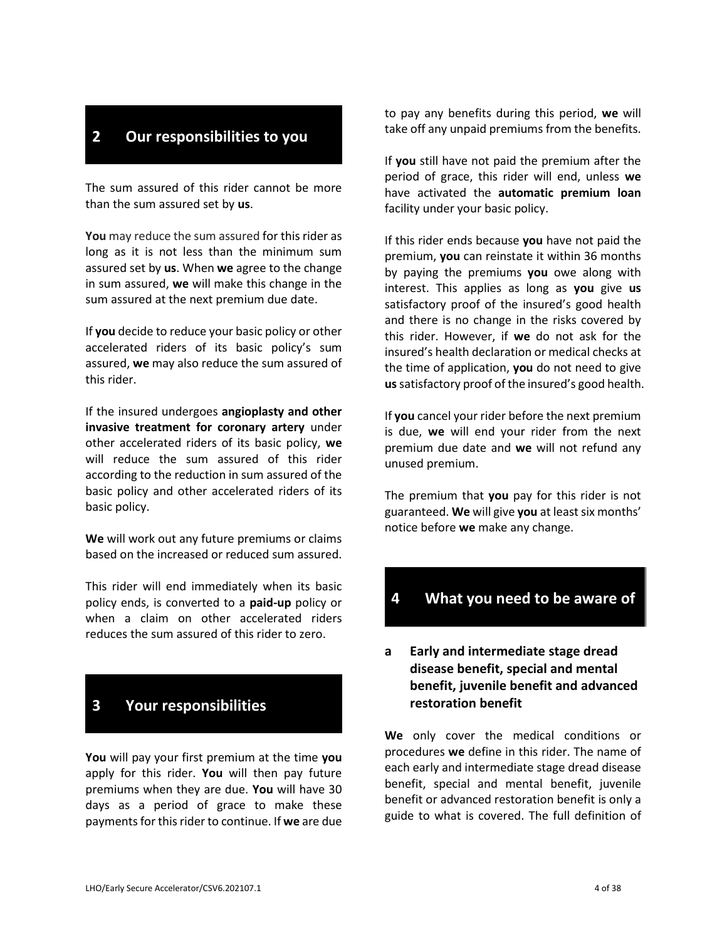## **2 Our responsibilities to you**

The sum assured of this rider cannot be more than the sum assured set by **us**.

**You** may reduce the sum assured for this rider as long as it is not less than the minimum sum assured set by **us**. When **we** agree to the change in sum assured, **we** will make this change in the sum assured at the next premium due date.

If **you** decide to reduce your basic policy or other accelerated riders of its basic policy's sum assured, **we** may also reduce the sum assured of this rider.

If the insured undergoes **angioplasty and other invasive treatment for coronary artery** under other accelerated riders of its basic policy, **we** will reduce the sum assured of this rider according to the reduction in sum assured of the basic policy and other accelerated riders of its basic policy.

**We** will work out any future premiums or claims based on the increased or reduced sum assured.

This rider will end immediately when its basic policy ends, is converted to a **paid-up** policy or when a claim on other accelerated riders reduces the sum assured of this rider to zero.

## **3 Your responsibilities**

**You** will pay your first premium at the time **you**  apply for this rider. **You** will then pay future premiums when they are due. **You** will have 30 days as a period of grace to make these payments for this rider to continue. If **we** are due

to pay any benefits during this period, **we** will take off any unpaid premiums from the benefits.

If **you** still have not paid the premium after the period of grace, this rider will end, unless **we**  have activated the **automatic premium loan**  facility under your basic policy.

If this rider ends because **you** have not paid the premium, **you** can reinstate it within 36 months by paying the premiums **you** owe along with interest. This applies as long as **you** give **us** satisfactory proof of the insured's good health and there is no change in the risks covered by this rider. However, if **we** do not ask for the insured's health declaration or medical checks at the time of application, **you** do not need to give **us**satisfactory proof of the insured's good health.

If **you** cancel your rider before the next premium is due, **we** will end your rider from the next premium due date and **we** will not refund any unused premium.

The premium that **you** pay for this rider is not guaranteed. **We** will give **you** at least six months' notice before **we** make any change.

## **4 What you need to be aware of**

## **a Early and intermediate stage dread disease benefit, special and mental benefit, juvenile benefit and advanced restoration benefit**

**We** only cover the medical conditions or procedures **we** define in this rider. The name of each early and intermediate stage dread disease benefit, special and mental benefit, juvenile benefit or advanced restoration benefit is only a guide to what is covered. The full definition of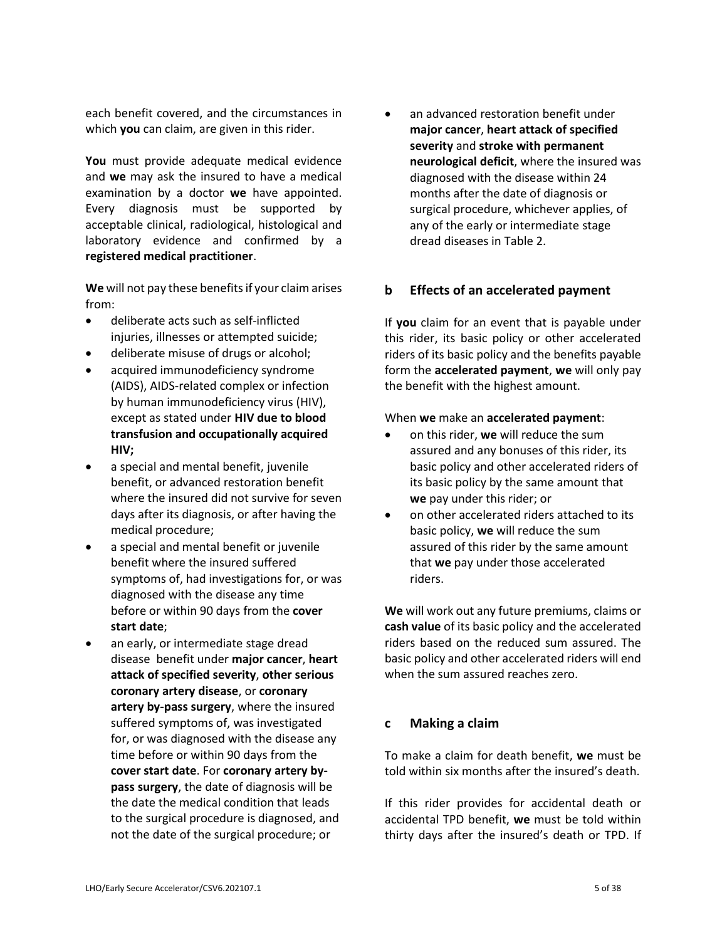each benefit covered, and the circumstances in which **you** can claim, are given in this rider.

**You** must provide adequate medical evidence and **we** may ask the insured to have a medical examination by a doctor **we** have appointed. Every diagnosis must be supported by acceptable clinical, radiological, histological and laboratory evidence and confirmed by a **registered medical practitioner**.

**We** will not pay these benefits if your claim arises from:

- deliberate acts such as self-inflicted injuries, illnesses or attempted suicide;
- deliberate misuse of drugs or alcohol;
- acquired immunodeficiency syndrome (AIDS), AIDS-related complex or infection by human immunodeficiency virus (HIV), except as stated under **HIV due to blood transfusion and occupationally acquired HIV;**
- a special and mental benefit, juvenile benefit, or advanced restoration benefit where the insured did not survive for seven days after its diagnosis, or after having the medical procedure;
- a special and mental benefit or juvenile benefit where the insured suffered symptoms of, had investigations for, or was diagnosed with the disease any time before or within 90 days from the **cover start date**;
- an early, or intermediate stage dread disease benefit under **major cancer**, **heart attack of specified severity**, **other serious coronary artery disease**, or **coronary artery by-pass surgery**, where the insured suffered symptoms of, was investigated for, or was diagnosed with the disease any time before or within 90 days from the **cover start date**. For **coronary artery bypass surgery**, the date of diagnosis will be the date the medical condition that leads to the surgical procedure is diagnosed, and not the date of the surgical procedure; or

 an advanced restoration benefit under **major cancer**, **heart attack of specified severity** and **stroke with permanent neurological deficit**, where the insured was diagnosed with the disease within 24 months after the date of diagnosis or surgical procedure, whichever applies, of any of the early or intermediate stage dread diseases in Table 2.

## **b Effects of an accelerated payment**

If **you** claim for an event that is payable under this rider, its basic policy or other accelerated riders of its basic policy and the benefits payable form the **accelerated payment**, **we** will only pay the benefit with the highest amount.

### When **we** make an **accelerated payment**:

- on this rider, **we** will reduce the sum assured and any bonuses of this rider, its basic policy and other accelerated riders of its basic policy by the same amount that **we** pay under this rider; or
- on other accelerated riders attached to its basic policy, **we** will reduce the sum assured of this rider by the same amount that **we** pay under those accelerated riders.

**We** will work out any future premiums, claims or **cash value** of its basic policy and the accelerated riders based on the reduced sum assured. The basic policy and other accelerated riders will end when the sum assured reaches zero.

### **c Making a claim**

To make a claim for death benefit, **we** must be told within six months after the insured's death.

If this rider provides for accidental death or accidental TPD benefit, **we** must be told within thirty days after the insured's death or TPD. If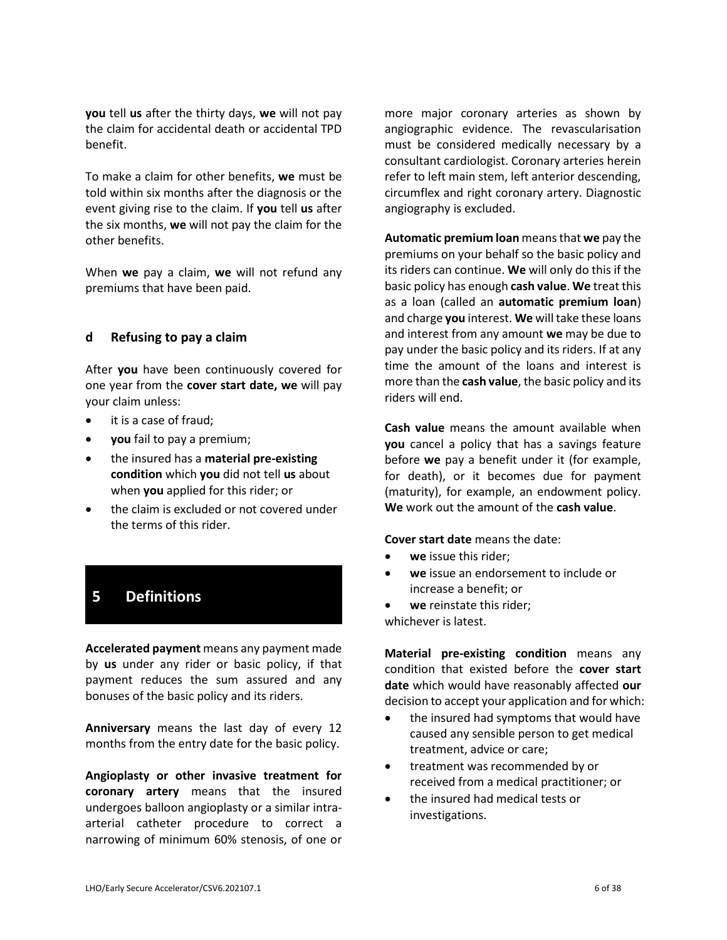**you** tell **us** after the thirty days, **we** will not pay the claim for accidental death or accidental TPD benefit.

To make a claim for other benefits, **we** must be told within six months after the diagnosis or the event giving rise to the claim. If **you** tell **us** after the six months, **we** will not pay the claim for the other benefits.

When **we** pay a claim, **we** will not refund any premiums that have been paid.

### **d Refusing to pay a claim**

After **you** have been continuously covered for one year from the **cover start date, we** will pay your claim unless:

- it is a case of fraud;
- **you** fail to pay a premium;
- the insured has a **material pre-existing condition** which **you** did not tell **us** about when **you** applied for this rider; or
- the claim is excluded or not covered under the terms of this rider.

## **5 Definitions**

**Accelerated payment** means any payment made by **us** under any rider or basic policy, if that payment reduces the sum assured and any bonuses of the basic policy and its riders.

**Anniversary** means the last day of every 12 months from the entry date for the basic policy.

**Angioplasty or other invasive treatment for coronary artery** means that the insured undergoes balloon angioplasty or a similar intraarterial catheter procedure to correct a narrowing of minimum 60% stenosis, of one or

more major coronary arteries as shown by angiographic evidence. The revascularisation must be considered medically necessary by a consultant cardiologist. Coronary arteries herein refer to left main stem, left anterior descending, circumflex and right coronary artery. Diagnostic angiography is excluded.

**Automatic premium loan** means that **we** pay the premiums on your behalf so the basic policy and its riders can continue. **We** will only do this if the basic policy has enough **cash value**. **We** treat this as a loan (called an **automatic premium loan**) and charge **you** interest. **We** will take these loans and interest from any amount **we** may be due to pay under the basic policy and its riders. If at any time the amount of the loans and interest is more than the **cash value**, the basic policy and its riders will end.

**Cash value** means the amount available when **you** cancel a policy that has a savings feature before **we** pay a benefit under it (for example, for death), or it becomes due for payment (maturity), for example, an endowment policy. **We** work out the amount of the **cash value**.

#### **Cover start date** means the date:

- **we** issue this rider;
- **we** issue an endorsement to include or increase a benefit; or
- **we** reinstate this rider;
- whichever is latest.

**Material pre-existing condition** means any condition that existed before the **cover start date** which would have reasonably affected **our**  decision to accept your application and for which:

- the insured had symptoms that would have caused any sensible person to get medical treatment, advice or care;
- treatment was recommended by or received from a medical practitioner; or
- the insured had medical tests or investigations.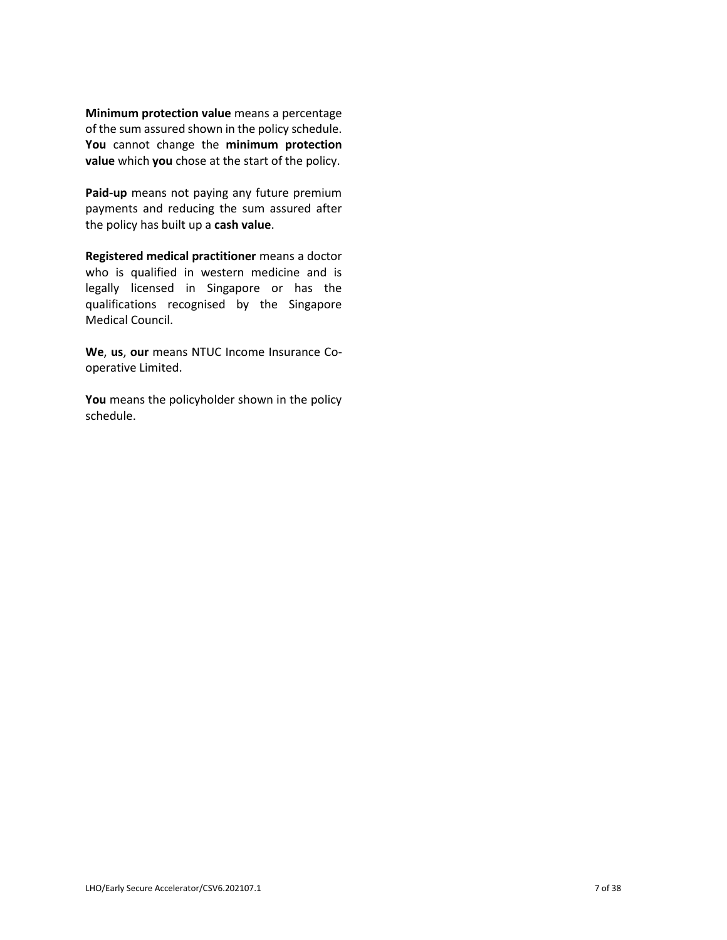**Minimum protection value** means a percentage of the sum assured shown in the policy schedule. **You** cannot change the **minimum protection value** which **you** chose at the start of the policy.

**Paid-up** means not paying any future premium payments and reducing the sum assured after the policy has built up a **cash value**.

**Registered medical practitioner** means a doctor who is qualified in western medicine and is legally licensed in Singapore or has the qualifications recognised by the Singapore Medical Council.

**We**, **us**, **our** means NTUC Income Insurance Cooperative Limited.

**You** means the policyholder shown in the policy schedule.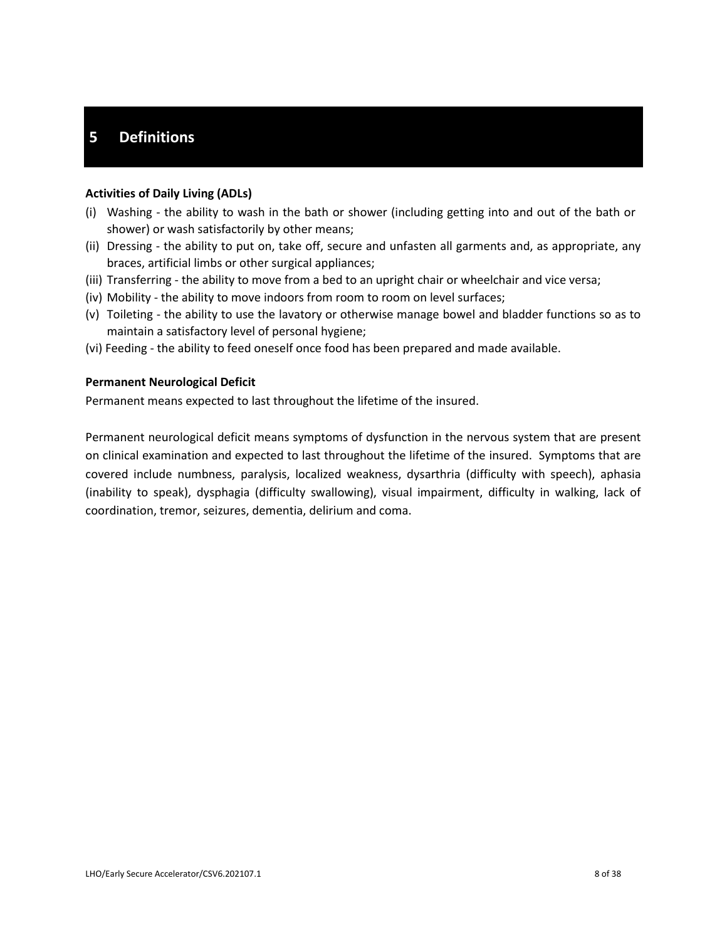## **5 Definitions**

#### **Activities of Daily Living (ADLs)**

- (i) Washing the ability to wash in the bath or shower (including getting into and out of the bath or shower) or wash satisfactorily by other means;
- (ii) Dressing the ability to put on, take off, secure and unfasten all garments and, as appropriate, any braces, artificial limbs or other surgical appliances;
- (iii) Transferring the ability to move from a bed to an upright chair or wheelchair and vice versa;
- (iv) Mobility the ability to move indoors from room to room on level surfaces;
- (v) Toileting the ability to use the lavatory or otherwise manage bowel and bladder functions so as to maintain a satisfactory level of personal hygiene;
- (vi) Feeding the ability to feed oneself once food has been prepared and made available.

#### **Permanent Neurological Deficit**

Permanent means expected to last throughout the lifetime of the insured.

Permanent neurological deficit means symptoms of dysfunction in the nervous system that are present on clinical examination and expected to last throughout the lifetime of the insured. Symptoms that are covered include numbness, paralysis, localized weakness, dysarthria (difficulty with speech), aphasia (inability to speak), dysphagia (difficulty swallowing), visual impairment, difficulty in walking, lack of coordination, tremor, seizures, dementia, delirium and coma.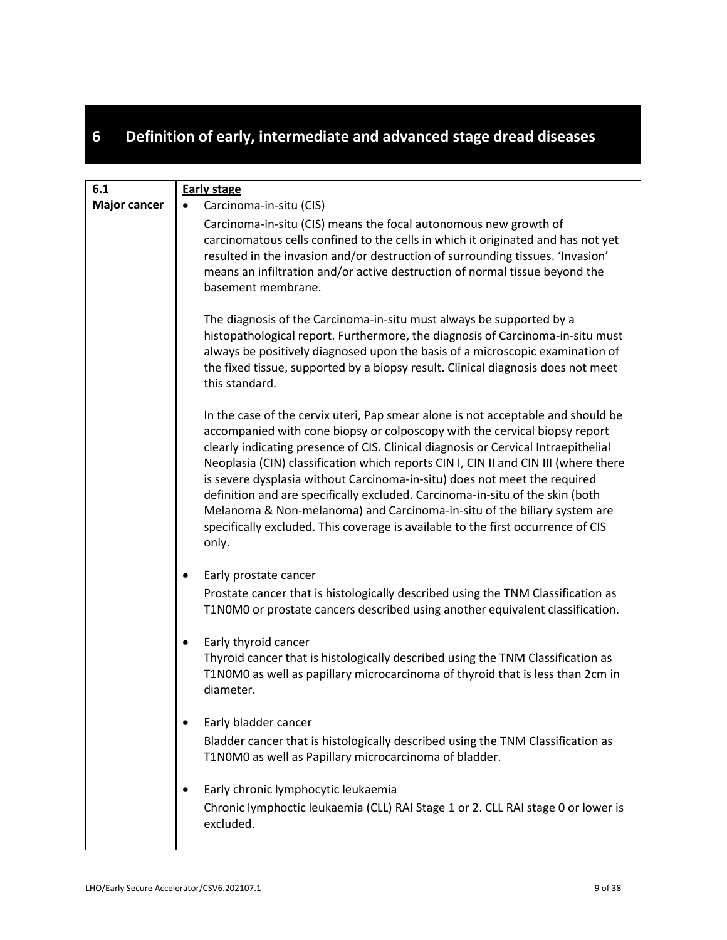# **6 Definition of early, intermediate and advanced stage dread diseases**

| 6.1                 | <b>Early stage</b>                                                                                                                                                                                                                                                                                                                                                                                                                                                                                                                                                                                                                                                                 |
|---------------------|------------------------------------------------------------------------------------------------------------------------------------------------------------------------------------------------------------------------------------------------------------------------------------------------------------------------------------------------------------------------------------------------------------------------------------------------------------------------------------------------------------------------------------------------------------------------------------------------------------------------------------------------------------------------------------|
| <b>Major cancer</b> | Carcinoma-in-situ (CIS)                                                                                                                                                                                                                                                                                                                                                                                                                                                                                                                                                                                                                                                            |
|                     | Carcinoma-in-situ (CIS) means the focal autonomous new growth of<br>carcinomatous cells confined to the cells in which it originated and has not yet<br>resulted in the invasion and/or destruction of surrounding tissues. 'Invasion'<br>means an infiltration and/or active destruction of normal tissue beyond the<br>basement membrane.                                                                                                                                                                                                                                                                                                                                        |
|                     | The diagnosis of the Carcinoma-in-situ must always be supported by a<br>histopathological report. Furthermore, the diagnosis of Carcinoma-in-situ must<br>always be positively diagnosed upon the basis of a microscopic examination of<br>the fixed tissue, supported by a biopsy result. Clinical diagnosis does not meet<br>this standard.                                                                                                                                                                                                                                                                                                                                      |
|                     | In the case of the cervix uteri, Pap smear alone is not acceptable and should be<br>accompanied with cone biopsy or colposcopy with the cervical biopsy report<br>clearly indicating presence of CIS. Clinical diagnosis or Cervical Intraepithelial<br>Neoplasia (CIN) classification which reports CIN I, CIN II and CIN III (where there<br>is severe dysplasia without Carcinoma-in-situ) does not meet the required<br>definition and are specifically excluded. Carcinoma-in-situ of the skin (both<br>Melanoma & Non-melanoma) and Carcinoma-in-situ of the biliary system are<br>specifically excluded. This coverage is available to the first occurrence of CIS<br>only. |
|                     | Early prostate cancer<br>٠<br>Prostate cancer that is histologically described using the TNM Classification as<br>T1N0M0 or prostate cancers described using another equivalent classification.                                                                                                                                                                                                                                                                                                                                                                                                                                                                                    |
|                     | Early thyroid cancer<br>٠<br>Thyroid cancer that is histologically described using the TNM Classification as<br>T1N0M0 as well as papillary microcarcinoma of thyroid that is less than 2cm in<br>diameter.                                                                                                                                                                                                                                                                                                                                                                                                                                                                        |
|                     | Early bladder cancer<br>Bladder cancer that is histologically described using the TNM Classification as<br>T1N0M0 as well as Papillary microcarcinoma of bladder.                                                                                                                                                                                                                                                                                                                                                                                                                                                                                                                  |
|                     | Early chronic lymphocytic leukaemia<br>Chronic lymphoctic leukaemia (CLL) RAI Stage 1 or 2. CLL RAI stage 0 or lower is<br>excluded.                                                                                                                                                                                                                                                                                                                                                                                                                                                                                                                                               |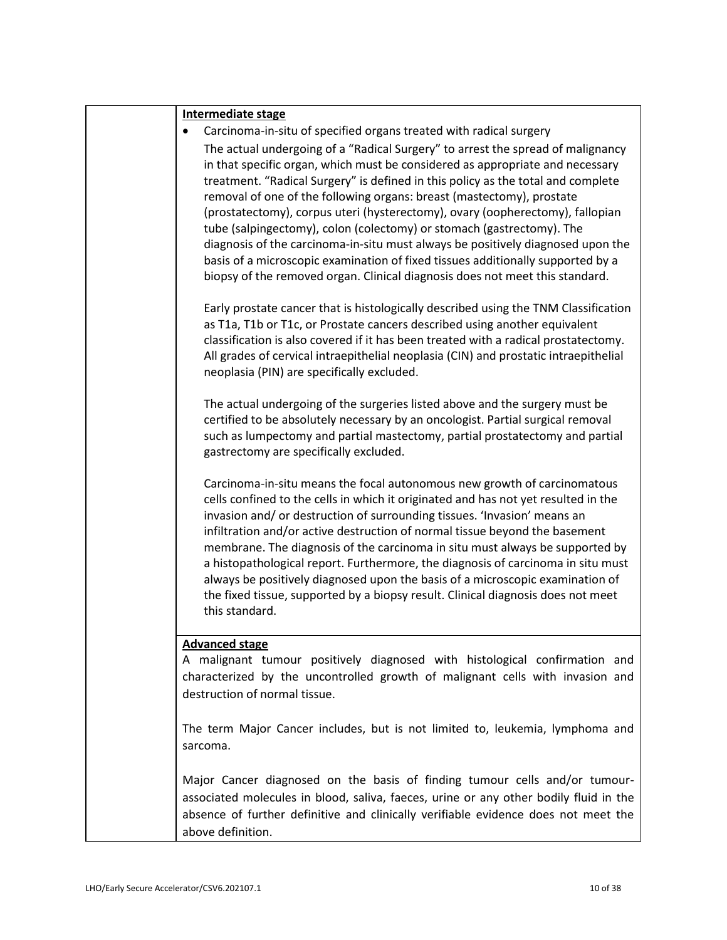| <b>Intermediate stage</b>                                                                                                                                                                                                                                                                                                                                                                                                                                                                                                                                                                                                                                                                                                                     |
|-----------------------------------------------------------------------------------------------------------------------------------------------------------------------------------------------------------------------------------------------------------------------------------------------------------------------------------------------------------------------------------------------------------------------------------------------------------------------------------------------------------------------------------------------------------------------------------------------------------------------------------------------------------------------------------------------------------------------------------------------|
| Carcinoma-in-situ of specified organs treated with radical surgery                                                                                                                                                                                                                                                                                                                                                                                                                                                                                                                                                                                                                                                                            |
| The actual undergoing of a "Radical Surgery" to arrest the spread of malignancy<br>in that specific organ, which must be considered as appropriate and necessary<br>treatment. "Radical Surgery" is defined in this policy as the total and complete<br>removal of one of the following organs: breast (mastectomy), prostate<br>(prostatectomy), corpus uteri (hysterectomy), ovary (oopherectomy), fallopian<br>tube (salpingectomy), colon (colectomy) or stomach (gastrectomy). The<br>diagnosis of the carcinoma-in-situ must always be positively diagnosed upon the<br>basis of a microscopic examination of fixed tissues additionally supported by a<br>biopsy of the removed organ. Clinical diagnosis does not meet this standard. |
| Early prostate cancer that is histologically described using the TNM Classification<br>as T1a, T1b or T1c, or Prostate cancers described using another equivalent<br>classification is also covered if it has been treated with a radical prostatectomy.<br>All grades of cervical intraepithelial neoplasia (CIN) and prostatic intraepithelial<br>neoplasia (PIN) are specifically excluded.                                                                                                                                                                                                                                                                                                                                                |
| The actual undergoing of the surgeries listed above and the surgery must be<br>certified to be absolutely necessary by an oncologist. Partial surgical removal<br>such as lumpectomy and partial mastectomy, partial prostatectomy and partial<br>gastrectomy are specifically excluded.                                                                                                                                                                                                                                                                                                                                                                                                                                                      |
| Carcinoma-in-situ means the focal autonomous new growth of carcinomatous<br>cells confined to the cells in which it originated and has not yet resulted in the<br>invasion and/ or destruction of surrounding tissues. 'Invasion' means an<br>infiltration and/or active destruction of normal tissue beyond the basement<br>membrane. The diagnosis of the carcinoma in situ must always be supported by<br>a histopathological report. Furthermore, the diagnosis of carcinoma in situ must<br>always be positively diagnosed upon the basis of a microscopic examination of<br>the fixed tissue, supported by a biopsy result. Clinical diagnosis does not meet<br>this standard.                                                          |
| <b>Advanced stage</b><br>A malignant tumour positively diagnosed with histological confirmation and<br>characterized by the uncontrolled growth of malignant cells with invasion and<br>destruction of normal tissue.                                                                                                                                                                                                                                                                                                                                                                                                                                                                                                                         |
| The term Major Cancer includes, but is not limited to, leukemia, lymphoma and<br>sarcoma.                                                                                                                                                                                                                                                                                                                                                                                                                                                                                                                                                                                                                                                     |
| Major Cancer diagnosed on the basis of finding tumour cells and/or tumour-<br>associated molecules in blood, saliva, faeces, urine or any other bodily fluid in the<br>absence of further definitive and clinically verifiable evidence does not meet the<br>above definition.                                                                                                                                                                                                                                                                                                                                                                                                                                                                |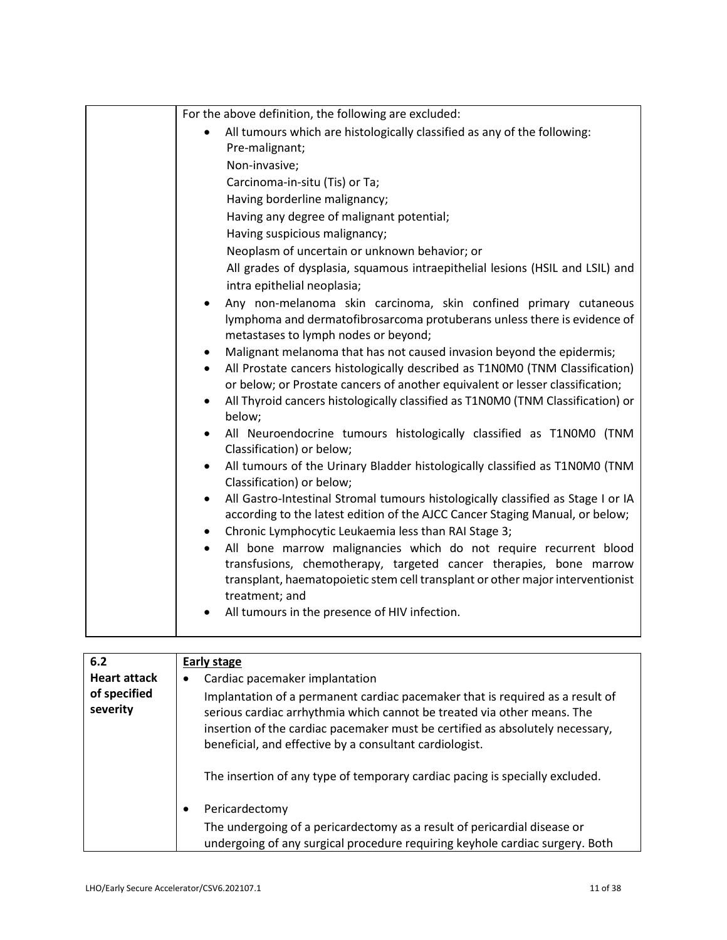| For the above definition, the following are excluded:                                                                                                                                                                                       |
|---------------------------------------------------------------------------------------------------------------------------------------------------------------------------------------------------------------------------------------------|
| All tumours which are histologically classified as any of the following:                                                                                                                                                                    |
| Pre-malignant;                                                                                                                                                                                                                              |
| Non-invasive;                                                                                                                                                                                                                               |
| Carcinoma-in-situ (Tis) or Ta;                                                                                                                                                                                                              |
| Having borderline malignancy;                                                                                                                                                                                                               |
| Having any degree of malignant potential;                                                                                                                                                                                                   |
| Having suspicious malignancy;                                                                                                                                                                                                               |
| Neoplasm of uncertain or unknown behavior; or                                                                                                                                                                                               |
| All grades of dysplasia, squamous intraepithelial lesions (HSIL and LSIL) and                                                                                                                                                               |
| intra epithelial neoplasia;                                                                                                                                                                                                                 |
| Any non-melanoma skin carcinoma, skin confined primary cutaneous<br>lymphoma and dermatofibrosarcoma protuberans unless there is evidence of<br>metastases to lymph nodes or beyond;                                                        |
| Malignant melanoma that has not caused invasion beyond the epidermis;                                                                                                                                                                       |
| All Prostate cancers histologically described as T1N0M0 (TNM Classification)                                                                                                                                                                |
| or below; or Prostate cancers of another equivalent or lesser classification;                                                                                                                                                               |
| All Thyroid cancers histologically classified as T1N0M0 (TNM Classification) or<br>$\bullet$<br>below;                                                                                                                                      |
| All Neuroendocrine tumours histologically classified as T1N0M0 (TNM<br>Classification) or below;                                                                                                                                            |
| All tumours of the Urinary Bladder histologically classified as T1N0M0 (TNM<br>$\bullet$<br>Classification) or below;                                                                                                                       |
| All Gastro-Intestinal Stromal tumours histologically classified as Stage I or IA<br>according to the latest edition of the AJCC Cancer Staging Manual, or below;                                                                            |
| Chronic Lymphocytic Leukaemia less than RAI Stage 3;                                                                                                                                                                                        |
| All bone marrow malignancies which do not require recurrent blood<br>transfusions, chemotherapy, targeted cancer therapies, bone marrow<br>transplant, haematopoietic stem cell transplant or other major interventionist<br>treatment; and |
| All tumours in the presence of HIV infection.                                                                                                                                                                                               |
|                                                                                                                                                                                                                                             |
|                                                                                                                                                                                                                                             |

| 6.2                      | Early stage                                                                                                                                                                                                                                                                                                                                                                          |
|--------------------------|--------------------------------------------------------------------------------------------------------------------------------------------------------------------------------------------------------------------------------------------------------------------------------------------------------------------------------------------------------------------------------------|
| <b>Heart attack</b>      | Cardiac pacemaker implantation<br>٠                                                                                                                                                                                                                                                                                                                                                  |
| of specified<br>severity | Implantation of a permanent cardiac pacemaker that is required as a result of<br>serious cardiac arrhythmia which cannot be treated via other means. The<br>insertion of the cardiac pacemaker must be certified as absolutely necessary,<br>beneficial, and effective by a consultant cardiologist.<br>The insertion of any type of temporary cardiac pacing is specially excluded. |
|                          | Pericardectomy<br>$\bullet$<br>The undergoing of a pericardectomy as a result of pericardial disease or<br>undergoing of any surgical procedure requiring keyhole cardiac surgery. Both                                                                                                                                                                                              |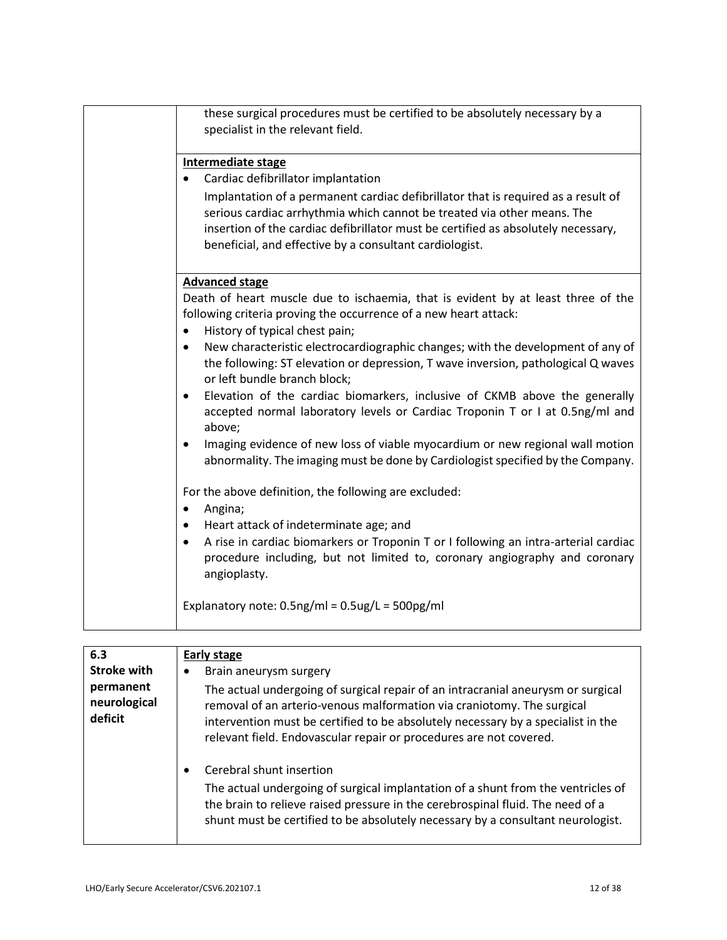| these surgical procedures must be certified to be absolutely necessary by a<br>specialist in the relevant field.                                                                                                                                                                                                                                                                                                                                                                                                                                                                                                                                                                                                                                                                                                                                                                                                                                                                                                                                                                                                                                |
|-------------------------------------------------------------------------------------------------------------------------------------------------------------------------------------------------------------------------------------------------------------------------------------------------------------------------------------------------------------------------------------------------------------------------------------------------------------------------------------------------------------------------------------------------------------------------------------------------------------------------------------------------------------------------------------------------------------------------------------------------------------------------------------------------------------------------------------------------------------------------------------------------------------------------------------------------------------------------------------------------------------------------------------------------------------------------------------------------------------------------------------------------|
| Intermediate stage<br>Cardiac defibrillator implantation<br>Implantation of a permanent cardiac defibrillator that is required as a result of<br>serious cardiac arrhythmia which cannot be treated via other means. The<br>insertion of the cardiac defibrillator must be certified as absolutely necessary,<br>beneficial, and effective by a consultant cardiologist.                                                                                                                                                                                                                                                                                                                                                                                                                                                                                                                                                                                                                                                                                                                                                                        |
| <b>Advanced stage</b><br>Death of heart muscle due to ischaemia, that is evident by at least three of the<br>following criteria proving the occurrence of a new heart attack:<br>History of typical chest pain;<br>$\bullet$<br>New characteristic electrocardiographic changes; with the development of any of<br>the following: ST elevation or depression, T wave inversion, pathological Q waves<br>or left bundle branch block;<br>Elevation of the cardiac biomarkers, inclusive of CKMB above the generally<br>accepted normal laboratory levels or Cardiac Troponin T or I at 0.5ng/ml and<br>above;<br>Imaging evidence of new loss of viable myocardium or new regional wall motion<br>abnormality. The imaging must be done by Cardiologist specified by the Company.<br>For the above definition, the following are excluded:<br>Angina;<br>Heart attack of indeterminate age; and<br>A rise in cardiac biomarkers or Troponin T or I following an intra-arterial cardiac<br>procedure including, but not limited to, coronary angiography and coronary<br>angioplasty.<br>Explanatory note: $0.5$ ng/ml = $0.5$ ug/L = $500$ pg/ml |

| 6.3                                  | Early stage                                                                                                                                                                                                                                                                                                          |
|--------------------------------------|----------------------------------------------------------------------------------------------------------------------------------------------------------------------------------------------------------------------------------------------------------------------------------------------------------------------|
| <b>Stroke with</b>                   | Brain aneurysm surgery<br>٠                                                                                                                                                                                                                                                                                          |
| permanent<br>neurological<br>deficit | The actual undergoing of surgical repair of an intracranial aneurysm or surgical<br>removal of an arterio-venous malformation via craniotomy. The surgical<br>intervention must be certified to be absolutely necessary by a specialist in the<br>relevant field. Endovascular repair or procedures are not covered. |
|                                      | Cerebral shunt insertion<br>$\bullet$<br>The actual undergoing of surgical implantation of a shunt from the ventricles of<br>the brain to relieve raised pressure in the cerebrospinal fluid. The need of a<br>shunt must be certified to be absolutely necessary by a consultant neurologist.                       |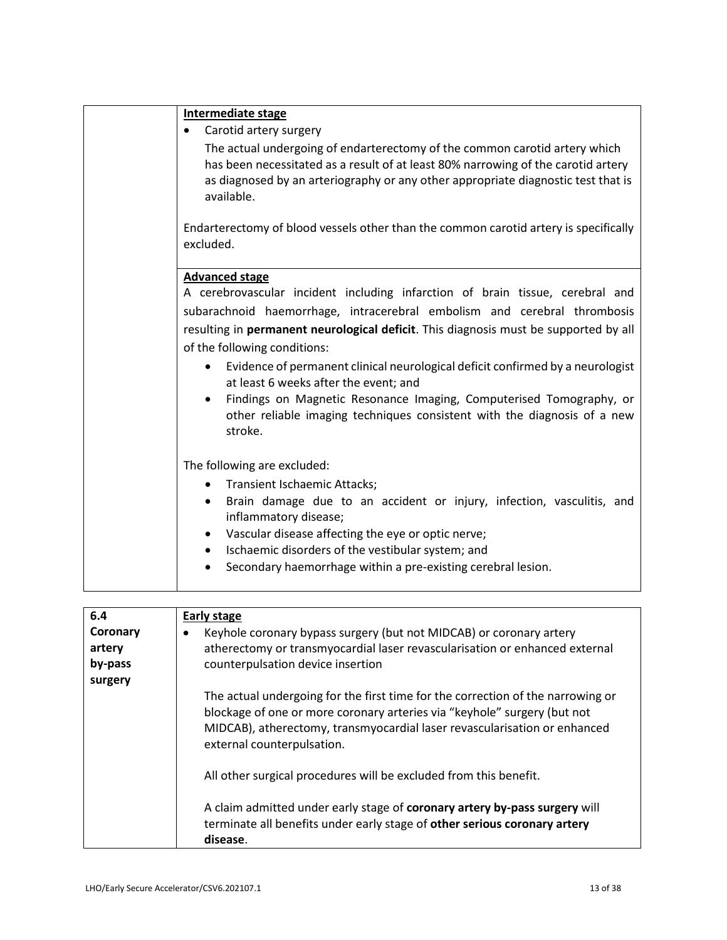| Intermediate stage                                                                                                                                                                                                                                                                                                            |
|-------------------------------------------------------------------------------------------------------------------------------------------------------------------------------------------------------------------------------------------------------------------------------------------------------------------------------|
| Carotid artery surgery                                                                                                                                                                                                                                                                                                        |
| The actual undergoing of endarterectomy of the common carotid artery which<br>has been necessitated as a result of at least 80% narrowing of the carotid artery<br>as diagnosed by an arteriography or any other appropriate diagnostic test that is<br>available.                                                            |
| Endarterectomy of blood vessels other than the common carotid artery is specifically<br>excluded.                                                                                                                                                                                                                             |
| <b>Advanced stage</b>                                                                                                                                                                                                                                                                                                         |
| A cerebrovascular incident including infarction of brain tissue, cerebral and                                                                                                                                                                                                                                                 |
| subarachnoid haemorrhage, intracerebral embolism and cerebral thrombosis                                                                                                                                                                                                                                                      |
| resulting in permanent neurological deficit. This diagnosis must be supported by all                                                                                                                                                                                                                                          |
| of the following conditions:                                                                                                                                                                                                                                                                                                  |
| Evidence of permanent clinical neurological deficit confirmed by a neurologist<br>$\bullet$<br>at least 6 weeks after the event; and<br>Findings on Magnetic Resonance Imaging, Computerised Tomography, or<br>$\bullet$<br>other reliable imaging techniques consistent with the diagnosis of a new<br>stroke.               |
| The following are excluded:                                                                                                                                                                                                                                                                                                   |
| <b>Transient Ischaemic Attacks;</b><br>$\bullet$                                                                                                                                                                                                                                                                              |
| Brain damage due to an accident or injury, infection, vasculitis, and<br>$\bullet$<br>inflammatory disease;<br>Vascular disease affecting the eye or optic nerve;<br>$\bullet$<br>Ischaemic disorders of the vestibular system; and<br>$\bullet$<br>Secondary haemorrhage within a pre-existing cerebral lesion.<br>$\bullet$ |

| 6.4      | Early stage                                                                                                                                                                                                                                                            |
|----------|------------------------------------------------------------------------------------------------------------------------------------------------------------------------------------------------------------------------------------------------------------------------|
| Coronary | Keyhole coronary bypass surgery (but not MIDCAB) or coronary artery<br>٠                                                                                                                                                                                               |
| artery   | atherectomy or transmyocardial laser revascularisation or enhanced external                                                                                                                                                                                            |
| by-pass  | counterpulsation device insertion                                                                                                                                                                                                                                      |
| surgery  |                                                                                                                                                                                                                                                                        |
|          | The actual undergoing for the first time for the correction of the narrowing or<br>blockage of one or more coronary arteries via "keyhole" surgery (but not<br>MIDCAB), atherectomy, transmyocardial laser revascularisation or enhanced<br>external counterpulsation. |
|          | All other surgical procedures will be excluded from this benefit.                                                                                                                                                                                                      |
|          | A claim admitted under early stage of coronary artery by-pass surgery will<br>terminate all benefits under early stage of other serious coronary artery<br>disease.                                                                                                    |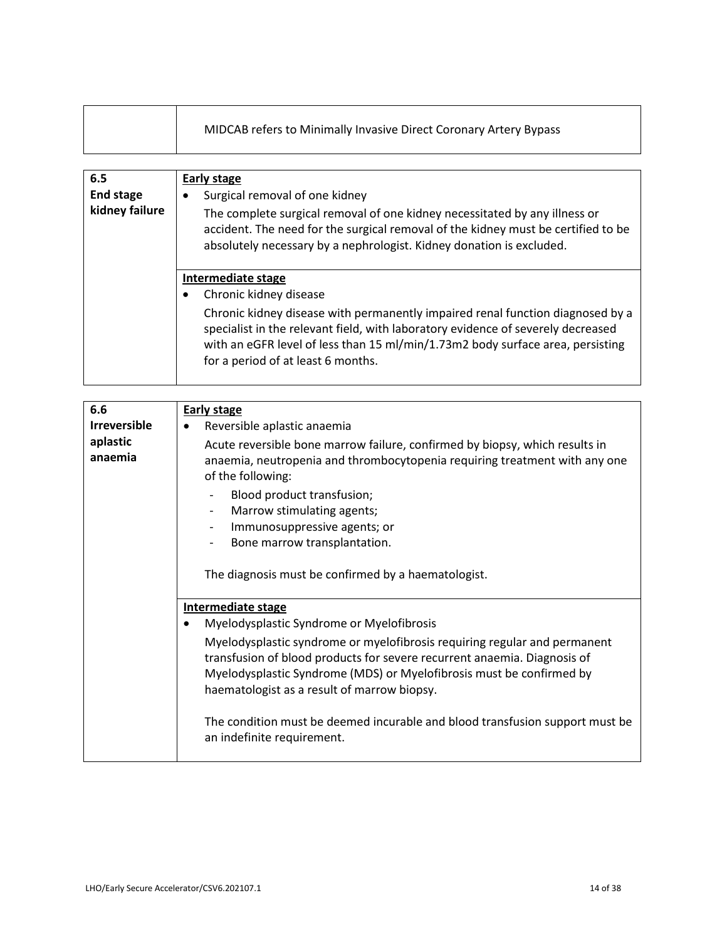| MIDCAB refers to Minimally Invasive Direct Coronary Artery Bypass |  |
|-------------------------------------------------------------------|--|
|-------------------------------------------------------------------|--|

| 6.5<br><b>End stage</b><br>kidney failure | Early stage<br>Surgical removal of one kidney<br>٠<br>The complete surgical removal of one kidney necessitated by any illness or<br>accident. The need for the surgical removal of the kidney must be certified to be<br>absolutely necessary by a nephrologist. Kidney donation is excluded.                                              |
|-------------------------------------------|--------------------------------------------------------------------------------------------------------------------------------------------------------------------------------------------------------------------------------------------------------------------------------------------------------------------------------------------|
|                                           | Intermediate stage<br>Chronic kidney disease<br>Chronic kidney disease with permanently impaired renal function diagnosed by a<br>specialist in the relevant field, with laboratory evidence of severely decreased<br>with an eGFR level of less than 15 ml/min/1.73m2 body surface area, persisting<br>for a period of at least 6 months. |

| 6.6                 |                                                                                                                                                                                                                                                                                                                                                                                               |
|---------------------|-----------------------------------------------------------------------------------------------------------------------------------------------------------------------------------------------------------------------------------------------------------------------------------------------------------------------------------------------------------------------------------------------|
|                     | <b>Early stage</b>                                                                                                                                                                                                                                                                                                                                                                            |
| <b>Irreversible</b> | Reversible aplastic anaemia                                                                                                                                                                                                                                                                                                                                                                   |
| aplastic<br>anaemia | Acute reversible bone marrow failure, confirmed by biopsy, which results in<br>anaemia, neutropenia and thrombocytopenia requiring treatment with any one<br>of the following:<br>Blood product transfusion;<br>Marrow stimulating agents;<br>Immunosuppressive agents; or<br>$\overline{\phantom{a}}$<br>Bone marrow transplantation.<br>The diagnosis must be confirmed by a haematologist. |
|                     | <b>Intermediate stage</b>                                                                                                                                                                                                                                                                                                                                                                     |
|                     | Myelodysplastic Syndrome or Myelofibrosis                                                                                                                                                                                                                                                                                                                                                     |
|                     | Myelodysplastic syndrome or myelofibrosis requiring regular and permanent<br>transfusion of blood products for severe recurrent anaemia. Diagnosis of<br>Myelodysplastic Syndrome (MDS) or Myelofibrosis must be confirmed by<br>haematologist as a result of marrow biopsy.                                                                                                                  |
|                     | The condition must be deemed incurable and blood transfusion support must be<br>an indefinite requirement.                                                                                                                                                                                                                                                                                    |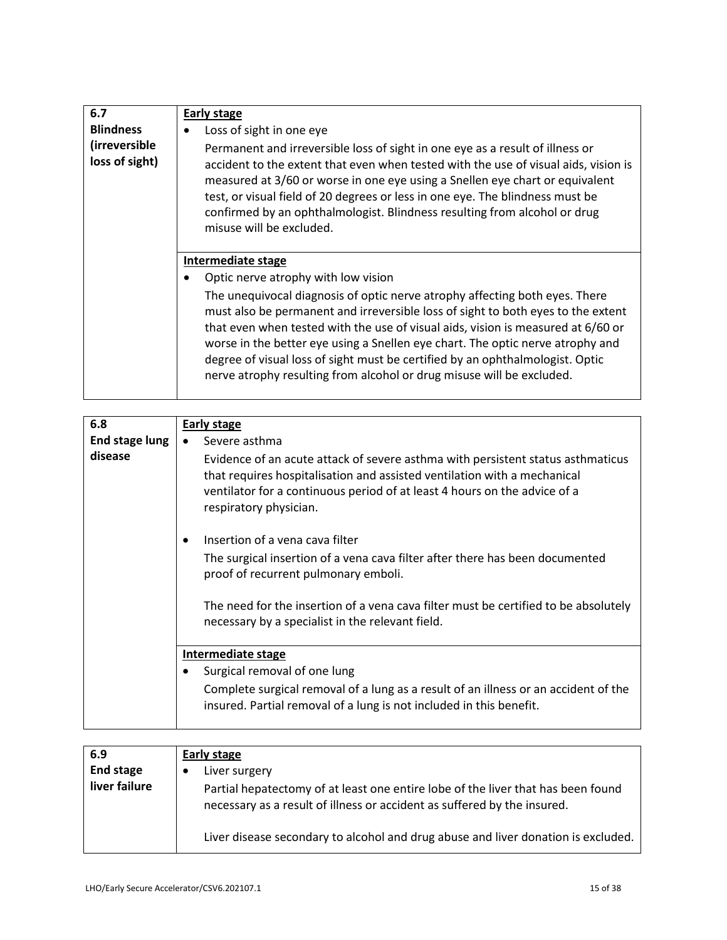| 6.7<br><b>Blindness</b><br>(irreversible<br>loss of sight) | <b>Early stage</b><br>Loss of sight in one eye<br>Permanent and irreversible loss of sight in one eye as a result of illness or<br>accident to the extent that even when tested with the use of visual aids, vision is<br>measured at 3/60 or worse in one eye using a Snellen eye chart or equivalent<br>test, or visual field of 20 degrees or less in one eye. The blindness must be<br>confirmed by an ophthalmologist. Blindness resulting from alcohol or drug<br>misuse will be excluded.                                                             |
|------------------------------------------------------------|--------------------------------------------------------------------------------------------------------------------------------------------------------------------------------------------------------------------------------------------------------------------------------------------------------------------------------------------------------------------------------------------------------------------------------------------------------------------------------------------------------------------------------------------------------------|
|                                                            | Intermediate stage<br>Optic nerve atrophy with low vision<br>The unequivocal diagnosis of optic nerve atrophy affecting both eyes. There<br>must also be permanent and irreversible loss of sight to both eyes to the extent<br>that even when tested with the use of visual aids, vision is measured at 6/60 or<br>worse in the better eye using a Snellen eye chart. The optic nerve atrophy and<br>degree of visual loss of sight must be certified by an ophthalmologist. Optic<br>nerve atrophy resulting from alcohol or drug misuse will be excluded. |

| 6.8            | Early stage                                                                                                                                                                                                                                                        |
|----------------|--------------------------------------------------------------------------------------------------------------------------------------------------------------------------------------------------------------------------------------------------------------------|
| End stage lung | Severe asthma                                                                                                                                                                                                                                                      |
| disease        | Evidence of an acute attack of severe asthma with persistent status asthmaticus<br>that requires hospitalisation and assisted ventilation with a mechanical<br>ventilator for a continuous period of at least 4 hours on the advice of a<br>respiratory physician. |
|                | Insertion of a vena cava filter<br>$\bullet$                                                                                                                                                                                                                       |
|                | The surgical insertion of a vena cava filter after there has been documented<br>proof of recurrent pulmonary emboli.                                                                                                                                               |
|                | The need for the insertion of a vena cava filter must be certified to be absolutely<br>necessary by a specialist in the relevant field.                                                                                                                            |
|                | Intermediate stage                                                                                                                                                                                                                                                 |
|                | Surgical removal of one lung                                                                                                                                                                                                                                       |
|                | Complete surgical removal of a lung as a result of an illness or an accident of the<br>insured. Partial removal of a lung is not included in this benefit.                                                                                                         |

| 6.9<br><b>End stage</b><br>liver failure | Early stage<br>Liver surgery<br>Partial hepatectomy of at least one entire lobe of the liver that has been found<br>necessary as a result of illness or accident as suffered by the insured. |
|------------------------------------------|----------------------------------------------------------------------------------------------------------------------------------------------------------------------------------------------|
|                                          | Liver disease secondary to alcohol and drug abuse and liver donation is excluded.                                                                                                            |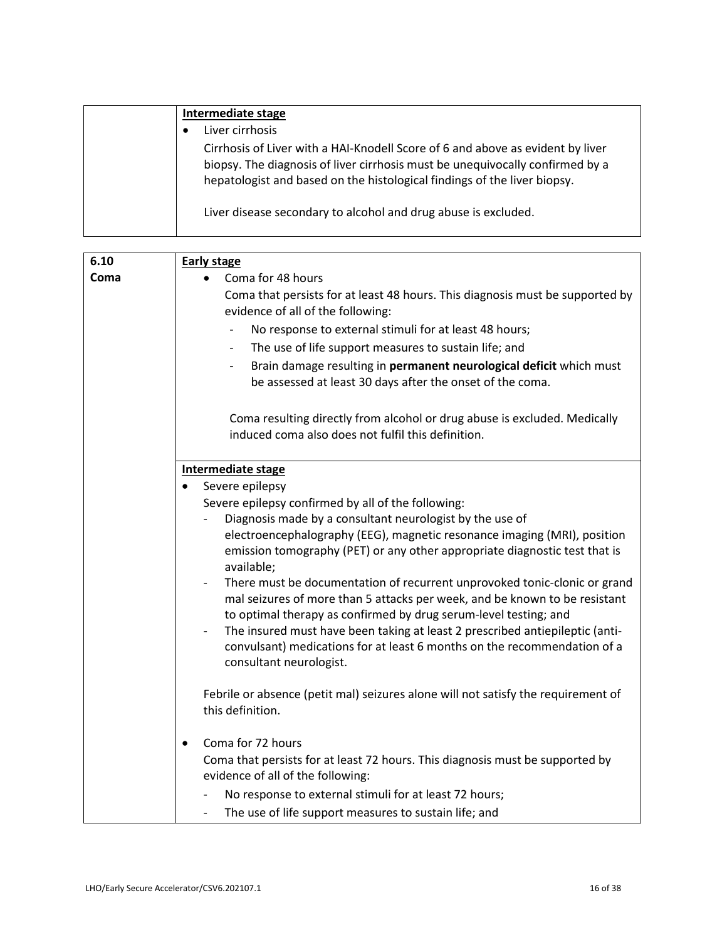| Intermediate stage                                                                                                                                                                                                                          |
|---------------------------------------------------------------------------------------------------------------------------------------------------------------------------------------------------------------------------------------------|
| Liver cirrhosis                                                                                                                                                                                                                             |
| Cirrhosis of Liver with a HAI-Knodell Score of 6 and above as evident by liver<br>biopsy. The diagnosis of liver cirrhosis must be unequivocally confirmed by a<br>hepatologist and based on the histological findings of the liver biopsy. |
| Liver disease secondary to alcohol and drug abuse is excluded.                                                                                                                                                                              |

| 6.10 | <b>Early stage</b>                                                                                                                                                                                                                                                                                                                                                                                                                             |
|------|------------------------------------------------------------------------------------------------------------------------------------------------------------------------------------------------------------------------------------------------------------------------------------------------------------------------------------------------------------------------------------------------------------------------------------------------|
| Coma | Coma for 48 hours<br>$\bullet$                                                                                                                                                                                                                                                                                                                                                                                                                 |
|      | Coma that persists for at least 48 hours. This diagnosis must be supported by<br>evidence of all of the following:                                                                                                                                                                                                                                                                                                                             |
|      | No response to external stimuli for at least 48 hours;                                                                                                                                                                                                                                                                                                                                                                                         |
|      | The use of life support measures to sustain life; and<br>$\overline{\phantom{0}}$                                                                                                                                                                                                                                                                                                                                                              |
|      | Brain damage resulting in permanent neurological deficit which must<br>be assessed at least 30 days after the onset of the coma.                                                                                                                                                                                                                                                                                                               |
|      | Coma resulting directly from alcohol or drug abuse is excluded. Medically<br>induced coma also does not fulfil this definition.                                                                                                                                                                                                                                                                                                                |
|      | Intermediate stage                                                                                                                                                                                                                                                                                                                                                                                                                             |
|      | Severe epilepsy                                                                                                                                                                                                                                                                                                                                                                                                                                |
|      | Severe epilepsy confirmed by all of the following:                                                                                                                                                                                                                                                                                                                                                                                             |
|      | Diagnosis made by a consultant neurologist by the use of<br>electroencephalography (EEG), magnetic resonance imaging (MRI), position<br>emission tomography (PET) or any other appropriate diagnostic test that is<br>available;                                                                                                                                                                                                               |
|      | There must be documentation of recurrent unprovoked tonic-clonic or grand<br>$\overline{\phantom{a}}$<br>mal seizures of more than 5 attacks per week, and be known to be resistant<br>to optimal therapy as confirmed by drug serum-level testing; and<br>The insured must have been taking at least 2 prescribed antiepileptic (anti-<br>convulsant) medications for at least 6 months on the recommendation of a<br>consultant neurologist. |
|      | Febrile or absence (petit mal) seizures alone will not satisfy the requirement of<br>this definition.                                                                                                                                                                                                                                                                                                                                          |
|      | Coma for 72 hours<br>$\bullet$                                                                                                                                                                                                                                                                                                                                                                                                                 |
|      | Coma that persists for at least 72 hours. This diagnosis must be supported by<br>evidence of all of the following:                                                                                                                                                                                                                                                                                                                             |
|      | No response to external stimuli for at least 72 hours;                                                                                                                                                                                                                                                                                                                                                                                         |
|      | The use of life support measures to sustain life; and                                                                                                                                                                                                                                                                                                                                                                                          |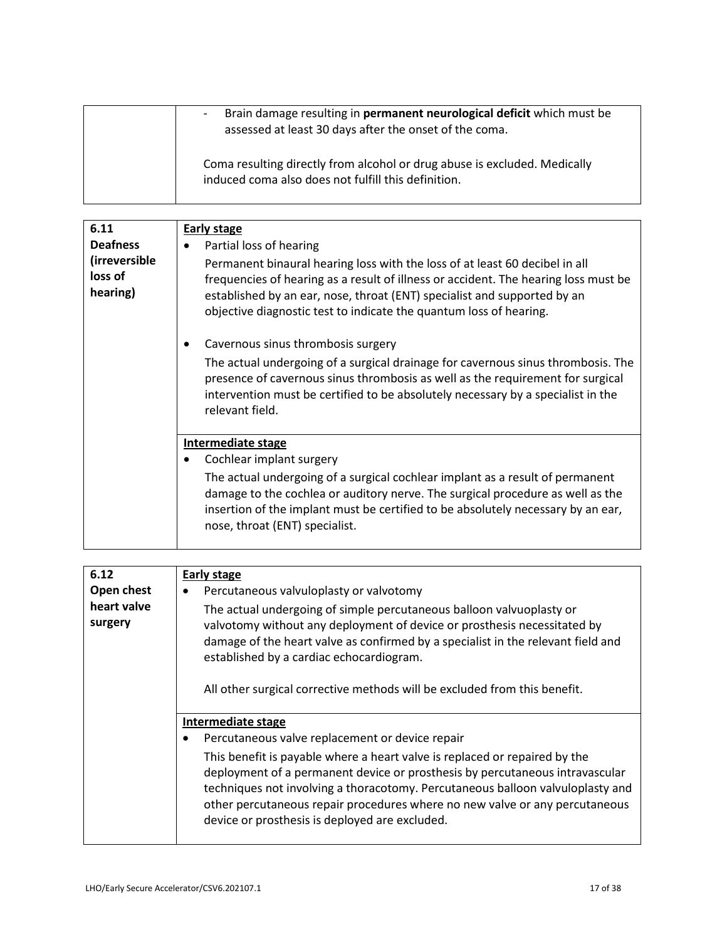| Brain damage resulting in permanent neurological deficit which must be<br>$\overline{\phantom{a}}$<br>assessed at least 30 days after the onset of the coma. |
|--------------------------------------------------------------------------------------------------------------------------------------------------------------|
| Coma resulting directly from alcohol or drug abuse is excluded. Medically<br>induced coma also does not fulfill this definition.                             |

| 6.11                                                    | <b>Early stage</b>                                                                                                                                                                                                                                                                                                                              |
|---------------------------------------------------------|-------------------------------------------------------------------------------------------------------------------------------------------------------------------------------------------------------------------------------------------------------------------------------------------------------------------------------------------------|
| <b>Deafness</b><br>(irreversible<br>loss of<br>hearing) | Partial loss of hearing<br>Permanent binaural hearing loss with the loss of at least 60 decibel in all<br>frequencies of hearing as a result of illness or accident. The hearing loss must be<br>established by an ear, nose, throat (ENT) specialist and supported by an<br>objective diagnostic test to indicate the quantum loss of hearing. |
|                                                         | Cavernous sinus thrombosis surgery                                                                                                                                                                                                                                                                                                              |
|                                                         | The actual undergoing of a surgical drainage for cavernous sinus thrombosis. The<br>presence of cavernous sinus thrombosis as well as the requirement for surgical<br>intervention must be certified to be absolutely necessary by a specialist in the<br>relevant field.                                                                       |
|                                                         | <b>Intermediate stage</b>                                                                                                                                                                                                                                                                                                                       |
|                                                         | Cochlear implant surgery                                                                                                                                                                                                                                                                                                                        |
|                                                         | The actual undergoing of a surgical cochlear implant as a result of permanent<br>damage to the cochlea or auditory nerve. The surgical procedure as well as the<br>insertion of the implant must be certified to be absolutely necessary by an ear,<br>nose, throat (ENT) specialist.                                                           |

| 6.12                   | Early stage                                                                                                                                                                                                                                                                                                                                                                   |
|------------------------|-------------------------------------------------------------------------------------------------------------------------------------------------------------------------------------------------------------------------------------------------------------------------------------------------------------------------------------------------------------------------------|
| Open chest             | Percutaneous valvuloplasty or valvotomy<br>$\bullet$                                                                                                                                                                                                                                                                                                                          |
| heart valve<br>surgery | The actual undergoing of simple percutaneous balloon valvuoplasty or<br>valvotomy without any deployment of device or prosthesis necessitated by<br>damage of the heart valve as confirmed by a specialist in the relevant field and<br>established by a cardiac echocardiogram.<br>All other surgical corrective methods will be excluded from this benefit.                 |
|                        | Intermediate stage                                                                                                                                                                                                                                                                                                                                                            |
|                        | Percutaneous valve replacement or device repair<br>$\bullet$                                                                                                                                                                                                                                                                                                                  |
|                        | This benefit is payable where a heart valve is replaced or repaired by the<br>deployment of a permanent device or prosthesis by percutaneous intravascular<br>techniques not involving a thoracotomy. Percutaneous balloon valvuloplasty and<br>other percutaneous repair procedures where no new valve or any percutaneous<br>device or prosthesis is deployed are excluded. |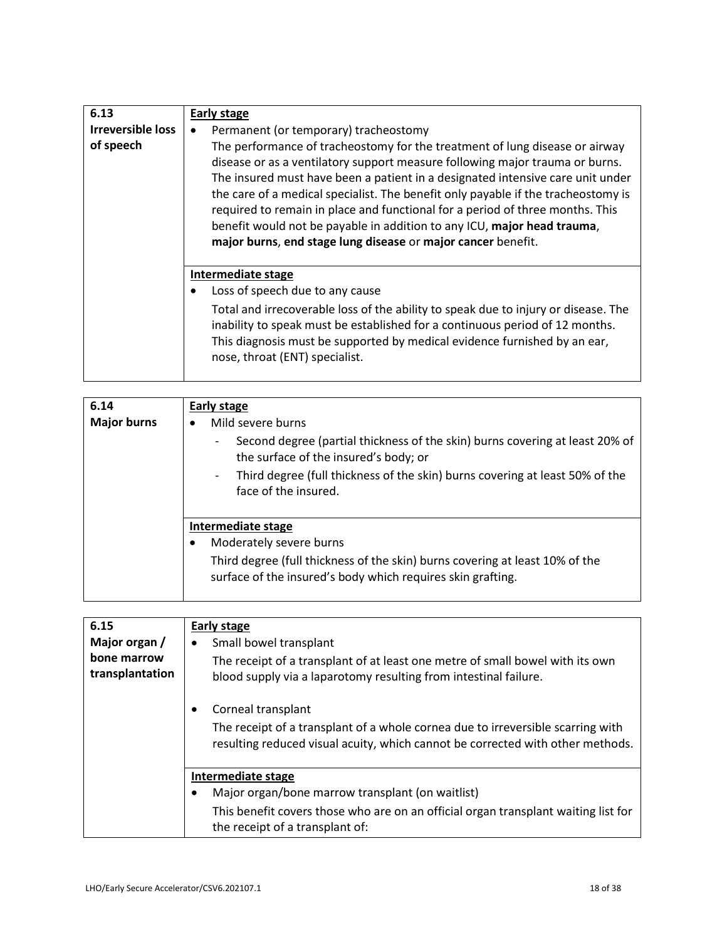| 6.13                     | Early stage                                                                                                                                                                                                                                                                                                                                                                                                                                                                                                                                                    |
|--------------------------|----------------------------------------------------------------------------------------------------------------------------------------------------------------------------------------------------------------------------------------------------------------------------------------------------------------------------------------------------------------------------------------------------------------------------------------------------------------------------------------------------------------------------------------------------------------|
| <b>Irreversible loss</b> | Permanent (or temporary) tracheostomy                                                                                                                                                                                                                                                                                                                                                                                                                                                                                                                          |
| of speech                | The performance of tracheostomy for the treatment of lung disease or airway<br>disease or as a ventilatory support measure following major trauma or burns.<br>The insured must have been a patient in a designated intensive care unit under<br>the care of a medical specialist. The benefit only payable if the tracheostomy is<br>required to remain in place and functional for a period of three months. This<br>benefit would not be payable in addition to any ICU, major head trauma,<br>major burns, end stage lung disease or major cancer benefit. |
|                          | Intermediate stage                                                                                                                                                                                                                                                                                                                                                                                                                                                                                                                                             |
|                          | Loss of speech due to any cause                                                                                                                                                                                                                                                                                                                                                                                                                                                                                                                                |
|                          | Total and irrecoverable loss of the ability to speak due to injury or disease. The<br>inability to speak must be established for a continuous period of 12 months.<br>This diagnosis must be supported by medical evidence furnished by an ear,<br>nose, throat (ENT) specialist.                                                                                                                                                                                                                                                                              |

| 6.14               | Early stage                                                                                                                                       |
|--------------------|---------------------------------------------------------------------------------------------------------------------------------------------------|
| <b>Major burns</b> | Mild severe burns<br>$\bullet$                                                                                                                    |
|                    | Second degree (partial thickness of the skin) burns covering at least 20% of<br>$\overline{\phantom{a}}$<br>the surface of the insured's body; or |
|                    | Third degree (full thickness of the skin) burns covering at least 50% of the<br>$\overline{\phantom{a}}$<br>face of the insured.                  |
|                    | Intermediate stage                                                                                                                                |
|                    | Moderately severe burns                                                                                                                           |
|                    | Third degree (full thickness of the skin) burns covering at least 10% of the<br>surface of the insured's body which requires skin grafting.       |

| 6.15                           | <b>Early stage</b>                                                                                                                                                |
|--------------------------------|-------------------------------------------------------------------------------------------------------------------------------------------------------------------|
| Major organ /                  | Small bowel transplant                                                                                                                                            |
| bone marrow<br>transplantation | The receipt of a transplant of at least one metre of small bowel with its own<br>blood supply via a laparotomy resulting from intestinal failure.                 |
|                                | Corneal transplant                                                                                                                                                |
|                                | The receipt of a transplant of a whole cornea due to irreversible scarring with<br>resulting reduced visual acuity, which cannot be corrected with other methods. |
|                                | Intermediate stage                                                                                                                                                |
|                                | Major organ/bone marrow transplant (on waitlist)                                                                                                                  |
|                                | This benefit covers those who are on an official organ transplant waiting list for<br>the receipt of a transplant of:                                             |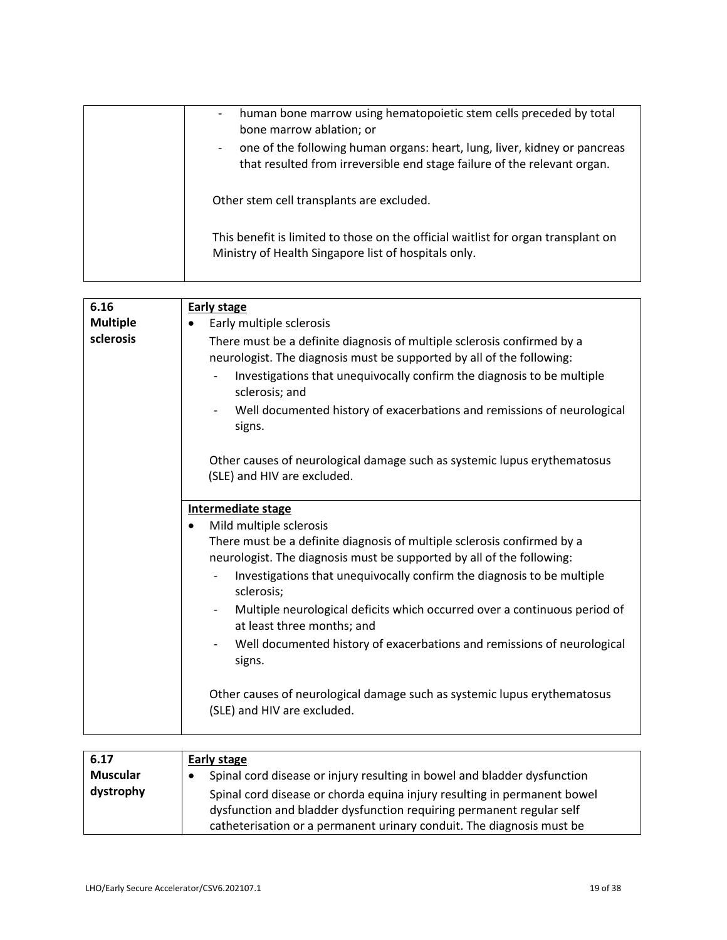| human bone marrow using hematopoietic stem cells preceded by total<br>bone marrow ablation; or                                                        |
|-------------------------------------------------------------------------------------------------------------------------------------------------------|
| one of the following human organs: heart, lung, liver, kidney or pancreas<br>that resulted from irreversible end stage failure of the relevant organ. |
| Other stem cell transplants are excluded.                                                                                                             |
| This benefit is limited to those on the official waitlist for organ transplant on<br>Ministry of Health Singapore list of hospitals only.             |
|                                                                                                                                                       |

| 6.16            | <b>Early stage</b>                                                                                                                               |
|-----------------|--------------------------------------------------------------------------------------------------------------------------------------------------|
| <b>Multiple</b> | Early multiple sclerosis<br>$\bullet$                                                                                                            |
| sclerosis       | There must be a definite diagnosis of multiple sclerosis confirmed by a<br>neurologist. The diagnosis must be supported by all of the following: |
|                 | Investigations that unequivocally confirm the diagnosis to be multiple<br>sclerosis; and                                                         |
|                 | Well documented history of exacerbations and remissions of neurological<br>signs.                                                                |
|                 | Other causes of neurological damage such as systemic lupus erythematosus<br>(SLE) and HIV are excluded.                                          |
|                 | Intermediate stage                                                                                                                               |
|                 | Mild multiple sclerosis<br>$\bullet$                                                                                                             |
|                 | There must be a definite diagnosis of multiple sclerosis confirmed by a                                                                          |
|                 | neurologist. The diagnosis must be supported by all of the following:                                                                            |
|                 | Investigations that unequivocally confirm the diagnosis to be multiple<br>sclerosis;                                                             |
|                 | Multiple neurological deficits which occurred over a continuous period of<br>at least three months; and                                          |
|                 | Well documented history of exacerbations and remissions of neurological<br>signs.                                                                |
|                 | Other causes of neurological damage such as systemic lupus erythematosus<br>(SLE) and HIV are excluded.                                          |

| 6.17      | Early stage                                                              |
|-----------|--------------------------------------------------------------------------|
| Muscular  | Spinal cord disease or injury resulting in bowel and bladder dysfunction |
| dystrophy | Spinal cord disease or chorda equina injury resulting in permanent bowel |
|           | dysfunction and bladder dysfunction requiring permanent regular self     |
|           | catheterisation or a permanent urinary conduit. The diagnosis must be    |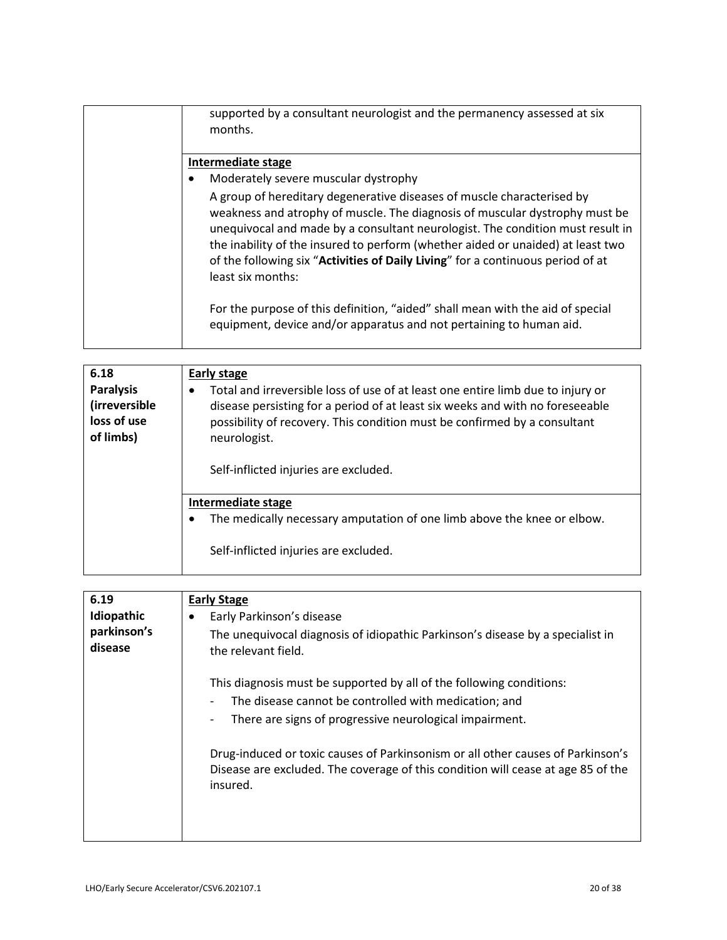| supported by a consultant neurologist and the permanency assessed at six<br>months.                                                                                                                                                                                                                                                                                                                                                |
|------------------------------------------------------------------------------------------------------------------------------------------------------------------------------------------------------------------------------------------------------------------------------------------------------------------------------------------------------------------------------------------------------------------------------------|
| Intermediate stage                                                                                                                                                                                                                                                                                                                                                                                                                 |
| Moderately severe muscular dystrophy<br>$\bullet$                                                                                                                                                                                                                                                                                                                                                                                  |
| A group of hereditary degenerative diseases of muscle characterised by<br>weakness and atrophy of muscle. The diagnosis of muscular dystrophy must be<br>unequivocal and made by a consultant neurologist. The condition must result in<br>the inability of the insured to perform (whether aided or unaided) at least two<br>of the following six "Activities of Daily Living" for a continuous period of at<br>least six months: |
| For the purpose of this definition, "aided" shall mean with the aid of special<br>equipment, device and/or apparatus and not pertaining to human aid.                                                                                                                                                                                                                                                                              |

| 6.18<br><b>Paralysis</b><br>(irreversible<br>loss of use<br>of limbs) | <b>Early stage</b><br>Total and irreversible loss of use of at least one entire limb due to injury or<br>disease persisting for a period of at least six weeks and with no foreseeable<br>possibility of recovery. This condition must be confirmed by a consultant<br>neurologist.<br>Self-inflicted injuries are excluded. |
|-----------------------------------------------------------------------|------------------------------------------------------------------------------------------------------------------------------------------------------------------------------------------------------------------------------------------------------------------------------------------------------------------------------|
|                                                                       | Intermediate stage<br>The medically necessary amputation of one limb above the knee or elbow.<br>Self-inflicted injuries are excluded.                                                                                                                                                                                       |

| 6.19        | <b>Early Stage</b>                                                                                                                                                                                                                                                                                                                                                                                 |
|-------------|----------------------------------------------------------------------------------------------------------------------------------------------------------------------------------------------------------------------------------------------------------------------------------------------------------------------------------------------------------------------------------------------------|
| Idiopathic  | Early Parkinson's disease                                                                                                                                                                                                                                                                                                                                                                          |
| parkinson's | The unequivocal diagnosis of idiopathic Parkinson's disease by a specialist in                                                                                                                                                                                                                                                                                                                     |
| disease     | the relevant field.<br>This diagnosis must be supported by all of the following conditions:<br>The disease cannot be controlled with medication; and<br>There are signs of progressive neurological impairment.<br>Drug-induced or toxic causes of Parkinsonism or all other causes of Parkinson's<br>Disease are excluded. The coverage of this condition will cease at age 85 of the<br>insured. |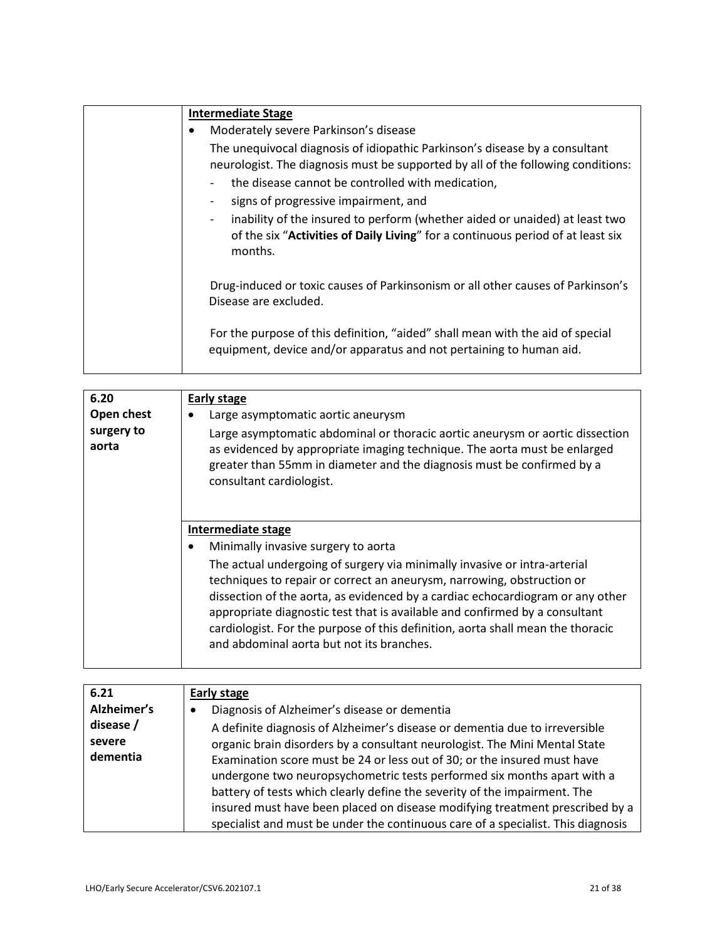| <b>Intermediate Stage</b>                                                                                                                                                                                                                                    |
|--------------------------------------------------------------------------------------------------------------------------------------------------------------------------------------------------------------------------------------------------------------|
| Moderately severe Parkinson's disease                                                                                                                                                                                                                        |
| The unequivocal diagnosis of idiopathic Parkinson's disease by a consultant<br>neurologist. The diagnosis must be supported by all of the following conditions:<br>the disease cannot be controlled with medication,<br>signs of progressive impairment, and |
| inability of the insured to perform (whether aided or unaided) at least two<br>of the six "Activities of Daily Living" for a continuous period of at least six<br>months.                                                                                    |
| Drug-induced or toxic causes of Parkinsonism or all other causes of Parkinson's<br>Disease are excluded.                                                                                                                                                     |
| For the purpose of this definition, "aided" shall mean with the aid of special<br>equipment, device and/or apparatus and not pertaining to human aid.                                                                                                        |

| 6.20<br>Open chest  | <b>Early stage</b><br>Large asymptomatic aortic aneurysm                                                                                                                                                                                                                                                                                                                                                                                             |
|---------------------|------------------------------------------------------------------------------------------------------------------------------------------------------------------------------------------------------------------------------------------------------------------------------------------------------------------------------------------------------------------------------------------------------------------------------------------------------|
| surgery to<br>aorta | Large asymptomatic abdominal or thoracic aortic aneurysm or aortic dissection<br>as evidenced by appropriate imaging technique. The aorta must be enlarged<br>greater than 55mm in diameter and the diagnosis must be confirmed by a<br>consultant cardiologist.                                                                                                                                                                                     |
|                     | Intermediate stage                                                                                                                                                                                                                                                                                                                                                                                                                                   |
|                     | Minimally invasive surgery to aorta                                                                                                                                                                                                                                                                                                                                                                                                                  |
|                     | The actual undergoing of surgery via minimally invasive or intra-arterial<br>techniques to repair or correct an aneurysm, narrowing, obstruction or<br>dissection of the aorta, as evidenced by a cardiac echocardiogram or any other<br>appropriate diagnostic test that is available and confirmed by a consultant<br>cardiologist. For the purpose of this definition, aorta shall mean the thoracic<br>and abdominal aorta but not its branches. |

| 6.21        | Early stage                                                                      |
|-------------|----------------------------------------------------------------------------------|
| Alzheimer's | Diagnosis of Alzheimer's disease or dementia<br>٠                                |
| disease /   | A definite diagnosis of Alzheimer's disease or dementia due to irreversible      |
| severe      | organic brain disorders by a consultant neurologist. The Mini Mental State       |
| dementia    | Examination score must be 24 or less out of 30; or the insured must have         |
|             | undergone two neuropsychometric tests performed six months apart with a          |
|             | battery of tests which clearly define the severity of the impairment. The        |
|             | insured must have been placed on disease modifying treatment prescribed by a     |
|             | specialist and must be under the continuous care of a specialist. This diagnosis |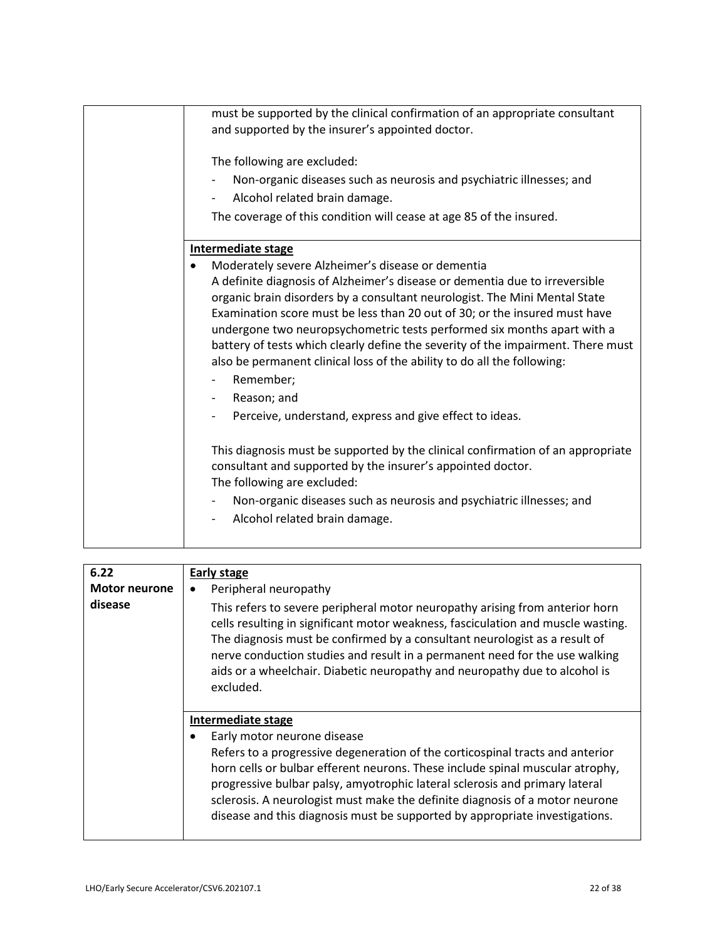| must be supported by the clinical confirmation of an appropriate consultant<br>and supported by the insurer's appointed doctor.                             |
|-------------------------------------------------------------------------------------------------------------------------------------------------------------|
|                                                                                                                                                             |
| The following are excluded:                                                                                                                                 |
| Non-organic diseases such as neurosis and psychiatric illnesses; and                                                                                        |
| Alcohol related brain damage.                                                                                                                               |
| The coverage of this condition will cease at age 85 of the insured.                                                                                         |
| Intermediate stage                                                                                                                                          |
| Moderately severe Alzheimer's disease or dementia                                                                                                           |
| A definite diagnosis of Alzheimer's disease or dementia due to irreversible                                                                                 |
| organic brain disorders by a consultant neurologist. The Mini Mental State                                                                                  |
| Examination score must be less than 20 out of 30; or the insured must have                                                                                  |
| undergone two neuropsychometric tests performed six months apart with a                                                                                     |
| battery of tests which clearly define the severity of the impairment. There must<br>also be permanent clinical loss of the ability to do all the following: |
| Remember;                                                                                                                                                   |
| Reason; and                                                                                                                                                 |
| Perceive, understand, express and give effect to ideas.                                                                                                     |
|                                                                                                                                                             |
| This diagnosis must be supported by the clinical confirmation of an appropriate                                                                             |
| consultant and supported by the insurer's appointed doctor.                                                                                                 |
| The following are excluded:                                                                                                                                 |
| Non-organic diseases such as neurosis and psychiatric illnesses; and                                                                                        |
| Alcohol related brain damage.                                                                                                                               |
|                                                                                                                                                             |

| 6.22                 | Early stage                                                                                                                                                                                                                                                                                                                                                                                                              |
|----------------------|--------------------------------------------------------------------------------------------------------------------------------------------------------------------------------------------------------------------------------------------------------------------------------------------------------------------------------------------------------------------------------------------------------------------------|
| <b>Motor neurone</b> | Peripheral neuropathy                                                                                                                                                                                                                                                                                                                                                                                                    |
| disease              | This refers to severe peripheral motor neuropathy arising from anterior horn<br>cells resulting in significant motor weakness, fasciculation and muscle wasting.<br>The diagnosis must be confirmed by a consultant neurologist as a result of<br>nerve conduction studies and result in a permanent need for the use walking<br>aids or a wheelchair. Diabetic neuropathy and neuropathy due to alcohol is<br>excluded. |
|                      | Intermediate stage                                                                                                                                                                                                                                                                                                                                                                                                       |
|                      | Early motor neurone disease                                                                                                                                                                                                                                                                                                                                                                                              |
|                      | Refers to a progressive degeneration of the corticospinal tracts and anterior<br>horn cells or bulbar efferent neurons. These include spinal muscular atrophy,<br>progressive bulbar palsy, amyotrophic lateral sclerosis and primary lateral<br>sclerosis. A neurologist must make the definite diagnosis of a motor neurone<br>disease and this diagnosis must be supported by appropriate investigations.             |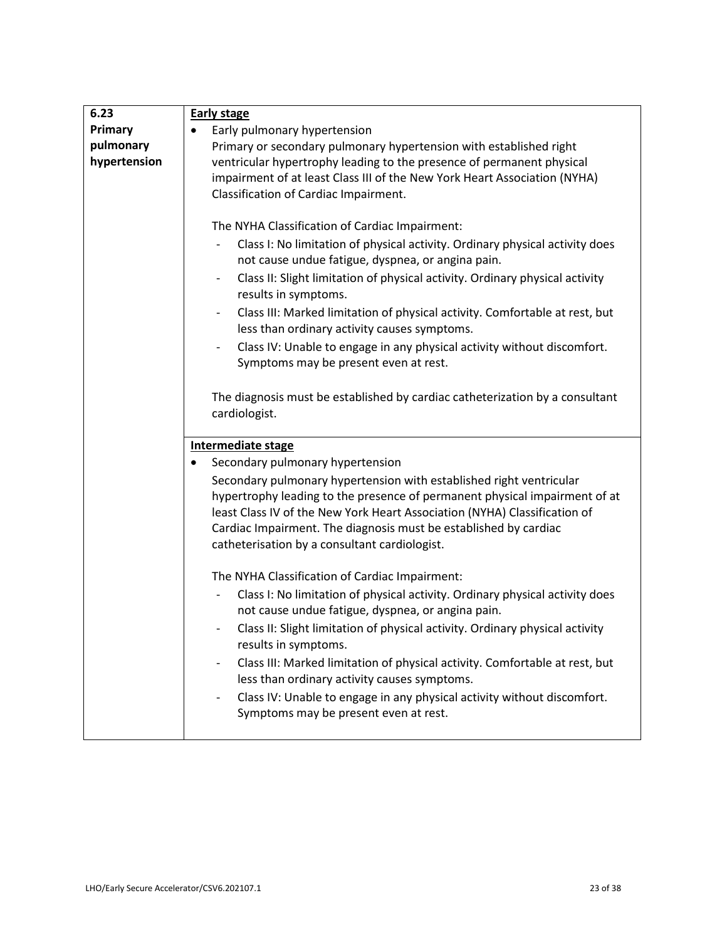| 6.23         | <b>Early stage</b>                                                                                                                                      |
|--------------|---------------------------------------------------------------------------------------------------------------------------------------------------------|
| Primary      | Early pulmonary hypertension                                                                                                                            |
| pulmonary    | Primary or secondary pulmonary hypertension with established right                                                                                      |
| hypertension | ventricular hypertrophy leading to the presence of permanent physical                                                                                   |
|              | impairment of at least Class III of the New York Heart Association (NYHA)                                                                               |
|              | Classification of Cardiac Impairment.                                                                                                                   |
|              |                                                                                                                                                         |
|              | The NYHA Classification of Cardiac Impairment:                                                                                                          |
|              | Class I: No limitation of physical activity. Ordinary physical activity does                                                                            |
|              | not cause undue fatigue, dyspnea, or angina pain.                                                                                                       |
|              | Class II: Slight limitation of physical activity. Ordinary physical activity<br>$\overline{\phantom{a}}$<br>results in symptoms.                        |
|              | Class III: Marked limitation of physical activity. Comfortable at rest, but<br>$\overline{\phantom{a}}$<br>less than ordinary activity causes symptoms. |
|              | Class IV: Unable to engage in any physical activity without discomfort.<br>Symptoms may be present even at rest.                                        |
|              | The diagnosis must be established by cardiac catheterization by a consultant<br>cardiologist.                                                           |
|              | <b>Intermediate stage</b>                                                                                                                               |
|              | Secondary pulmonary hypertension<br>$\bullet$                                                                                                           |
|              | Secondary pulmonary hypertension with established right ventricular                                                                                     |
|              | hypertrophy leading to the presence of permanent physical impairment of at                                                                              |
|              | least Class IV of the New York Heart Association (NYHA) Classification of                                                                               |
|              | Cardiac Impairment. The diagnosis must be established by cardiac                                                                                        |
|              | catheterisation by a consultant cardiologist.                                                                                                           |
|              |                                                                                                                                                         |
|              | The NYHA Classification of Cardiac Impairment:                                                                                                          |
|              | Class I: No limitation of physical activity. Ordinary physical activity does                                                                            |
|              | not cause undue fatigue, dyspnea, or angina pain.                                                                                                       |
|              | Class II: Slight limitation of physical activity. Ordinary physical activity<br>$\overline{\phantom{0}}$<br>results in symptoms.                        |
|              | Class III: Marked limitation of physical activity. Comfortable at rest, but                                                                             |
|              | less than ordinary activity causes symptoms.                                                                                                            |
|              | Class IV: Unable to engage in any physical activity without discomfort.                                                                                 |
|              | Symptoms may be present even at rest.                                                                                                                   |
|              |                                                                                                                                                         |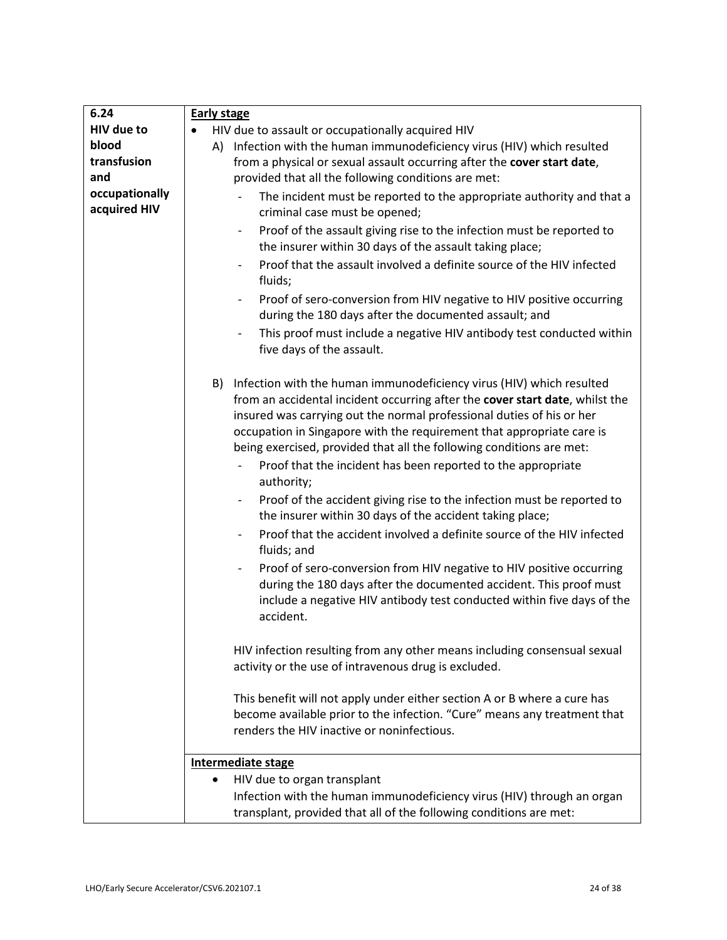| 6.24                           | <b>Early stage</b>                                                                                                                                                                                                                                                                                                                                                                                                                                |
|--------------------------------|---------------------------------------------------------------------------------------------------------------------------------------------------------------------------------------------------------------------------------------------------------------------------------------------------------------------------------------------------------------------------------------------------------------------------------------------------|
| HIV due to                     | HIV due to assault or occupationally acquired HIV                                                                                                                                                                                                                                                                                                                                                                                                 |
| blood                          | A) Infection with the human immunodeficiency virus (HIV) which resulted                                                                                                                                                                                                                                                                                                                                                                           |
| transfusion                    | from a physical or sexual assault occurring after the cover start date,                                                                                                                                                                                                                                                                                                                                                                           |
| and                            | provided that all the following conditions are met:                                                                                                                                                                                                                                                                                                                                                                                               |
| occupationally<br>acquired HIV | The incident must be reported to the appropriate authority and that a<br>criminal case must be opened;                                                                                                                                                                                                                                                                                                                                            |
|                                | Proof of the assault giving rise to the infection must be reported to<br>$\overline{\phantom{0}}$<br>the insurer within 30 days of the assault taking place;                                                                                                                                                                                                                                                                                      |
|                                | Proof that the assault involved a definite source of the HIV infected<br>fluids;                                                                                                                                                                                                                                                                                                                                                                  |
|                                | Proof of sero-conversion from HIV negative to HIV positive occurring<br>$\overline{\phantom{0}}$<br>during the 180 days after the documented assault; and                                                                                                                                                                                                                                                                                         |
|                                | This proof must include a negative HIV antibody test conducted within<br>five days of the assault.                                                                                                                                                                                                                                                                                                                                                |
|                                | B) Infection with the human immunodeficiency virus (HIV) which resulted<br>from an accidental incident occurring after the cover start date, whilst the<br>insured was carrying out the normal professional duties of his or her<br>occupation in Singapore with the requirement that appropriate care is<br>being exercised, provided that all the following conditions are met:<br>Proof that the incident has been reported to the appropriate |
|                                | authority;                                                                                                                                                                                                                                                                                                                                                                                                                                        |
|                                | Proof of the accident giving rise to the infection must be reported to<br>$\overline{\phantom{0}}$<br>the insurer within 30 days of the accident taking place;                                                                                                                                                                                                                                                                                    |
|                                | Proof that the accident involved a definite source of the HIV infected<br>fluids; and                                                                                                                                                                                                                                                                                                                                                             |
|                                | Proof of sero-conversion from HIV negative to HIV positive occurring<br>$\overline{\phantom{0}}$<br>during the 180 days after the documented accident. This proof must<br>include a negative HIV antibody test conducted within five days of the<br>accident.                                                                                                                                                                                     |
|                                | HIV infection resulting from any other means including consensual sexual<br>activity or the use of intravenous drug is excluded.                                                                                                                                                                                                                                                                                                                  |
|                                | This benefit will not apply under either section A or B where a cure has                                                                                                                                                                                                                                                                                                                                                                          |
|                                | become available prior to the infection. "Cure" means any treatment that                                                                                                                                                                                                                                                                                                                                                                          |
|                                | renders the HIV inactive or noninfectious.                                                                                                                                                                                                                                                                                                                                                                                                        |
|                                | Intermediate stage                                                                                                                                                                                                                                                                                                                                                                                                                                |
|                                | HIV due to organ transplant<br>$\bullet$                                                                                                                                                                                                                                                                                                                                                                                                          |
|                                | Infection with the human immunodeficiency virus (HIV) through an organ                                                                                                                                                                                                                                                                                                                                                                            |
|                                | transplant, provided that all of the following conditions are met:                                                                                                                                                                                                                                                                                                                                                                                |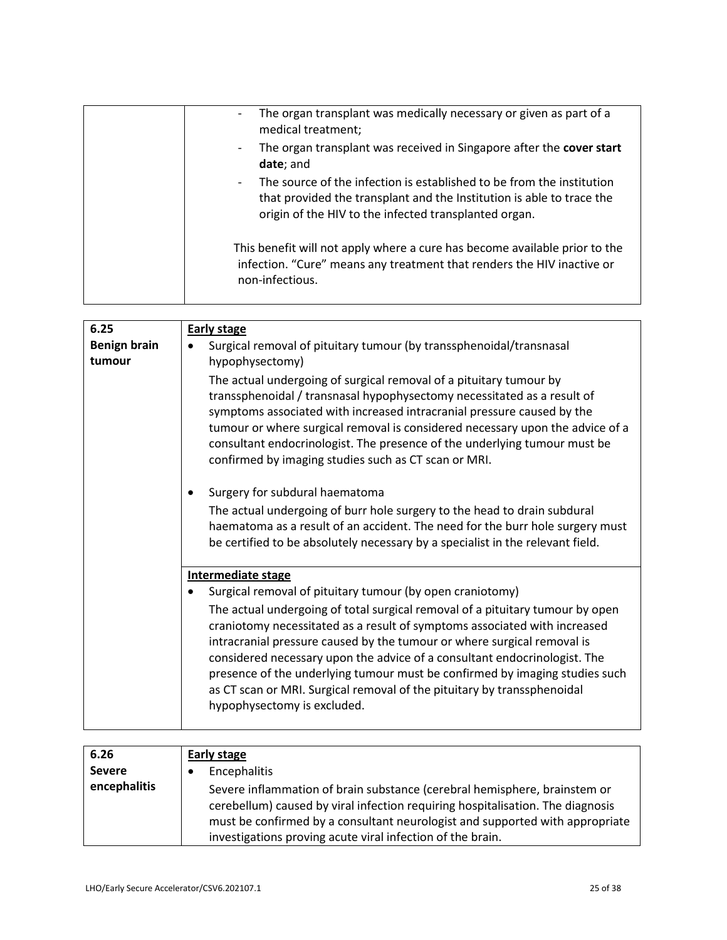| The organ transplant was medically necessary or given as part of a<br>$\overline{\phantom{a}}$<br>medical treatment;                                                                                                                |
|-------------------------------------------------------------------------------------------------------------------------------------------------------------------------------------------------------------------------------------|
| The organ transplant was received in Singapore after the cover start<br>$\overline{\phantom{a}}$<br>date; and                                                                                                                       |
| The source of the infection is established to be from the institution<br>$\overline{\phantom{a}}$<br>that provided the transplant and the Institution is able to trace the<br>origin of the HIV to the infected transplanted organ. |
| This benefit will not apply where a cure has become available prior to the<br>infection. "Cure" means any treatment that renders the HIV inactive or<br>non-infectious.                                                             |

| 6.25                | <b>Early stage</b>                                                                                                                                                                                                                                                                                                                                                                                                                                                                                          |
|---------------------|-------------------------------------------------------------------------------------------------------------------------------------------------------------------------------------------------------------------------------------------------------------------------------------------------------------------------------------------------------------------------------------------------------------------------------------------------------------------------------------------------------------|
| <b>Benign brain</b> | Surgical removal of pituitary tumour (by transsphenoidal/transnasal<br>$\bullet$                                                                                                                                                                                                                                                                                                                                                                                                                            |
| tumour              | hypophysectomy)                                                                                                                                                                                                                                                                                                                                                                                                                                                                                             |
|                     | The actual undergoing of surgical removal of a pituitary tumour by<br>transsphenoidal / transnasal hypophysectomy necessitated as a result of<br>symptoms associated with increased intracranial pressure caused by the<br>tumour or where surgical removal is considered necessary upon the advice of a<br>consultant endocrinologist. The presence of the underlying tumour must be<br>confirmed by imaging studies such as CT scan or MRI.                                                               |
|                     | Surgery for subdural haematoma                                                                                                                                                                                                                                                                                                                                                                                                                                                                              |
|                     | The actual undergoing of burr hole surgery to the head to drain subdural<br>haematoma as a result of an accident. The need for the burr hole surgery must<br>be certified to be absolutely necessary by a specialist in the relevant field.                                                                                                                                                                                                                                                                 |
|                     | <b>Intermediate stage</b>                                                                                                                                                                                                                                                                                                                                                                                                                                                                                   |
|                     | Surgical removal of pituitary tumour (by open craniotomy)                                                                                                                                                                                                                                                                                                                                                                                                                                                   |
|                     | The actual undergoing of total surgical removal of a pituitary tumour by open<br>craniotomy necessitated as a result of symptoms associated with increased<br>intracranial pressure caused by the tumour or where surgical removal is<br>considered necessary upon the advice of a consultant endocrinologist. The<br>presence of the underlying tumour must be confirmed by imaging studies such<br>as CT scan or MRI. Surgical removal of the pituitary by transsphenoidal<br>hypophysectomy is excluded. |

| 6.26          | Early stage                                                                                                                                                                                                                                                                                               |
|---------------|-----------------------------------------------------------------------------------------------------------------------------------------------------------------------------------------------------------------------------------------------------------------------------------------------------------|
| <b>Severe</b> | Encephalitis                                                                                                                                                                                                                                                                                              |
| encephalitis  | Severe inflammation of brain substance (cerebral hemisphere, brainstem or<br>cerebellum) caused by viral infection requiring hospitalisation. The diagnosis<br>must be confirmed by a consultant neurologist and supported with appropriate<br>investigations proving acute viral infection of the brain. |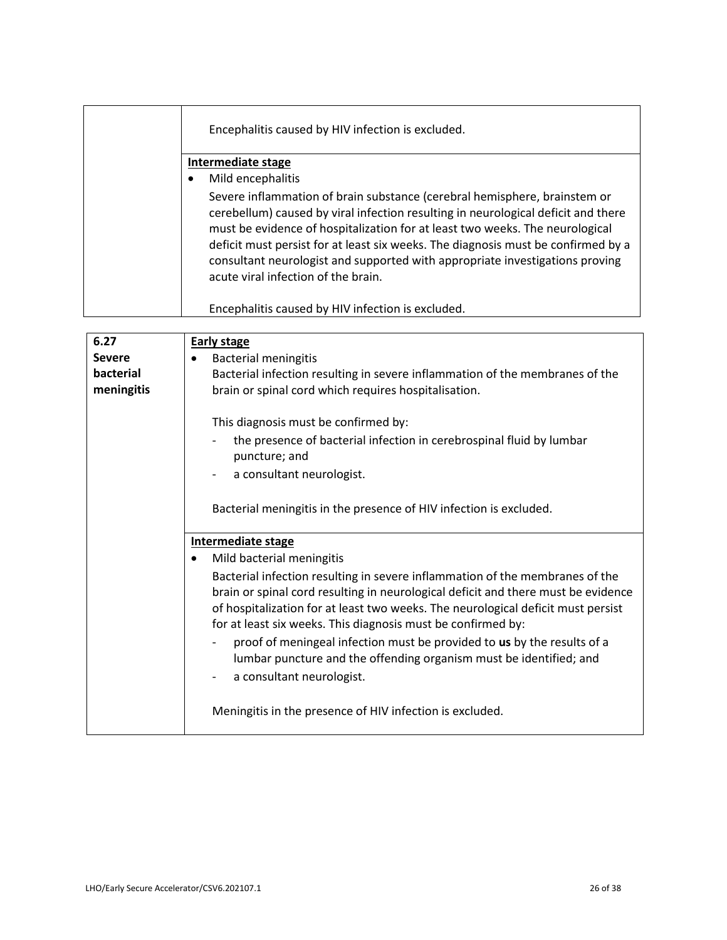| Encephalitis caused by HIV infection is excluded.                                                                                                                                                                                                                                                                                                                                                                                                          |
|------------------------------------------------------------------------------------------------------------------------------------------------------------------------------------------------------------------------------------------------------------------------------------------------------------------------------------------------------------------------------------------------------------------------------------------------------------|
| Intermediate stage                                                                                                                                                                                                                                                                                                                                                                                                                                         |
| Mild encephalitis                                                                                                                                                                                                                                                                                                                                                                                                                                          |
| Severe inflammation of brain substance (cerebral hemisphere, brainstem or<br>cerebellum) caused by viral infection resulting in neurological deficit and there<br>must be evidence of hospitalization for at least two weeks. The neurological<br>deficit must persist for at least six weeks. The diagnosis must be confirmed by a<br>consultant neurologist and supported with appropriate investigations proving<br>acute viral infection of the brain. |
| Encephalitis caused by HIV infection is excluded.                                                                                                                                                                                                                                                                                                                                                                                                          |

| 6.27          | <b>Early stage</b>                                                                    |
|---------------|---------------------------------------------------------------------------------------|
| <b>Severe</b> | <b>Bacterial meningitis</b>                                                           |
| bacterial     | Bacterial infection resulting in severe inflammation of the membranes of the          |
| meningitis    | brain or spinal cord which requires hospitalisation.                                  |
|               |                                                                                       |
|               | This diagnosis must be confirmed by:                                                  |
|               | the presence of bacterial infection in cerebrospinal fluid by lumbar<br>puncture; and |
|               | a consultant neurologist.                                                             |
|               |                                                                                       |
|               | Bacterial meningitis in the presence of HIV infection is excluded.                    |
|               |                                                                                       |
|               | Intermediate stage                                                                    |
|               | Mild bacterial meningitis<br>$\bullet$                                                |
|               | Bacterial infection resulting in severe inflammation of the membranes of the          |
|               | brain or spinal cord resulting in neurological deficit and there must be evidence     |
|               | of hospitalization for at least two weeks. The neurological deficit must persist      |
|               | for at least six weeks. This diagnosis must be confirmed by:                          |
|               | proof of meningeal infection must be provided to us by the results of a               |
|               | lumbar puncture and the offending organism must be identified; and                    |
|               |                                                                                       |
|               | a consultant neurologist.                                                             |
|               |                                                                                       |
|               | Meningitis in the presence of HIV infection is excluded.                              |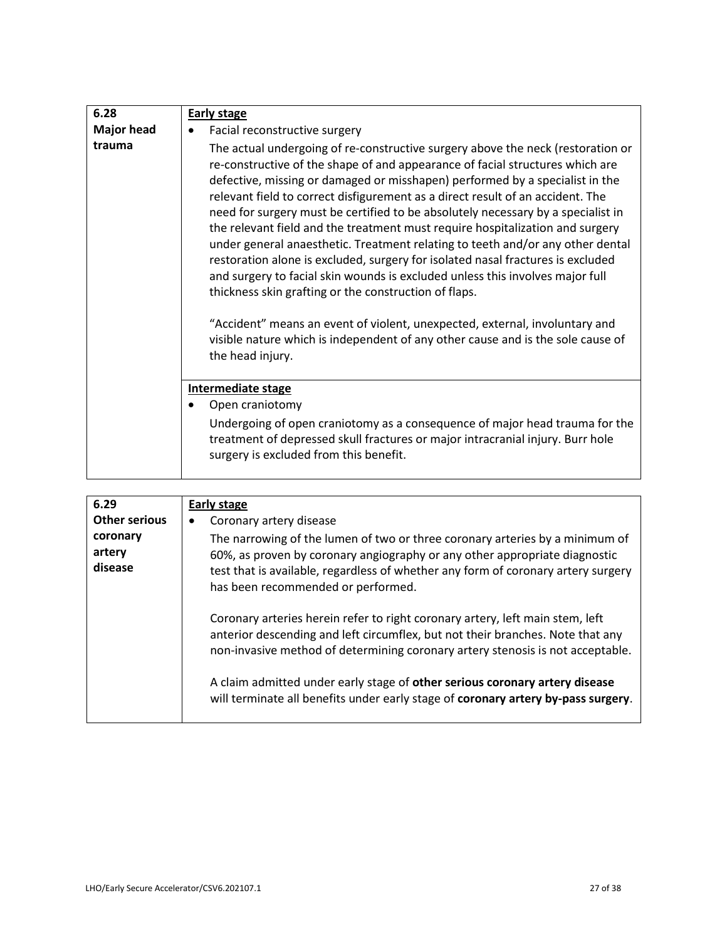| 6.28              | <b>Early stage</b>                                                                                                                                                                                                                                                                                                                                                                                                                                                                                                                                                                                                                                                                                                                                                                                                                                                                                                                                                                                           |
|-------------------|--------------------------------------------------------------------------------------------------------------------------------------------------------------------------------------------------------------------------------------------------------------------------------------------------------------------------------------------------------------------------------------------------------------------------------------------------------------------------------------------------------------------------------------------------------------------------------------------------------------------------------------------------------------------------------------------------------------------------------------------------------------------------------------------------------------------------------------------------------------------------------------------------------------------------------------------------------------------------------------------------------------|
| <b>Major head</b> | Facial reconstructive surgery                                                                                                                                                                                                                                                                                                                                                                                                                                                                                                                                                                                                                                                                                                                                                                                                                                                                                                                                                                                |
| trauma            | The actual undergoing of re-constructive surgery above the neck (restoration or<br>re-constructive of the shape of and appearance of facial structures which are<br>defective, missing or damaged or misshapen) performed by a specialist in the<br>relevant field to correct disfigurement as a direct result of an accident. The<br>need for surgery must be certified to be absolutely necessary by a specialist in<br>the relevant field and the treatment must require hospitalization and surgery<br>under general anaesthetic. Treatment relating to teeth and/or any other dental<br>restoration alone is excluded, surgery for isolated nasal fractures is excluded<br>and surgery to facial skin wounds is excluded unless this involves major full<br>thickness skin grafting or the construction of flaps.<br>"Accident" means an event of violent, unexpected, external, involuntary and<br>visible nature which is independent of any other cause and is the sole cause of<br>the head injury. |
|                   | <b>Intermediate stage</b>                                                                                                                                                                                                                                                                                                                                                                                                                                                                                                                                                                                                                                                                                                                                                                                                                                                                                                                                                                                    |
|                   | Open craniotomy                                                                                                                                                                                                                                                                                                                                                                                                                                                                                                                                                                                                                                                                                                                                                                                                                                                                                                                                                                                              |
|                   | Undergoing of open craniotomy as a consequence of major head trauma for the<br>treatment of depressed skull fractures or major intracranial injury. Burr hole<br>surgery is excluded from this benefit.                                                                                                                                                                                                                                                                                                                                                                                                                                                                                                                                                                                                                                                                                                                                                                                                      |

| 6.29                          | Early stage                                                                                                                                                                                                                                                                           |
|-------------------------------|---------------------------------------------------------------------------------------------------------------------------------------------------------------------------------------------------------------------------------------------------------------------------------------|
| <b>Other serious</b>          | Coronary artery disease                                                                                                                                                                                                                                                               |
| coronary<br>artery<br>disease | The narrowing of the lumen of two or three coronary arteries by a minimum of<br>60%, as proven by coronary angiography or any other appropriate diagnostic<br>test that is available, regardless of whether any form of coronary artery surgery<br>has been recommended or performed. |
|                               | Coronary arteries herein refer to right coronary artery, left main stem, left<br>anterior descending and left circumflex, but not their branches. Note that any<br>non-invasive method of determining coronary artery stenosis is not acceptable.                                     |
|                               | A claim admitted under early stage of other serious coronary artery disease<br>will terminate all benefits under early stage of coronary artery by-pass surgery.                                                                                                                      |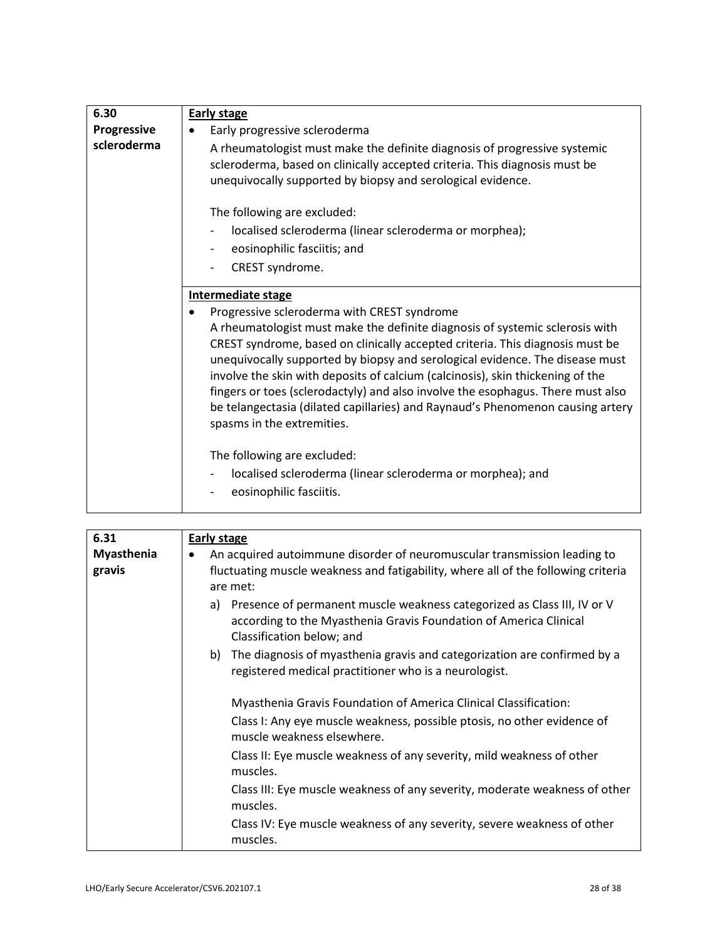| 6.30               | <b>Early stage</b>                                                                                                                                                                                                                                                                                                                                                                                                                                                                                                                                                                |
|--------------------|-----------------------------------------------------------------------------------------------------------------------------------------------------------------------------------------------------------------------------------------------------------------------------------------------------------------------------------------------------------------------------------------------------------------------------------------------------------------------------------------------------------------------------------------------------------------------------------|
| <b>Progressive</b> | Early progressive scleroderma                                                                                                                                                                                                                                                                                                                                                                                                                                                                                                                                                     |
| scleroderma        | A rheumatologist must make the definite diagnosis of progressive systemic<br>scleroderma, based on clinically accepted criteria. This diagnosis must be<br>unequivocally supported by biopsy and serological evidence.                                                                                                                                                                                                                                                                                                                                                            |
|                    | The following are excluded:                                                                                                                                                                                                                                                                                                                                                                                                                                                                                                                                                       |
|                    | localised scleroderma (linear scleroderma or morphea);                                                                                                                                                                                                                                                                                                                                                                                                                                                                                                                            |
|                    | eosinophilic fasciitis; and                                                                                                                                                                                                                                                                                                                                                                                                                                                                                                                                                       |
|                    | CREST syndrome.                                                                                                                                                                                                                                                                                                                                                                                                                                                                                                                                                                   |
|                    | <b>Intermediate stage</b>                                                                                                                                                                                                                                                                                                                                                                                                                                                                                                                                                         |
|                    | Progressive scleroderma with CREST syndrome<br>A rheumatologist must make the definite diagnosis of systemic sclerosis with<br>CREST syndrome, based on clinically accepted criteria. This diagnosis must be<br>unequivocally supported by biopsy and serological evidence. The disease must<br>involve the skin with deposits of calcium (calcinosis), skin thickening of the<br>fingers or toes (sclerodactyly) and also involve the esophagus. There must also<br>be telangectasia (dilated capillaries) and Raynaud's Phenomenon causing artery<br>spasms in the extremities. |
|                    | The following are excluded:<br>localised scleroderma (linear scleroderma or morphea); and<br>eosinophilic fasciitis.                                                                                                                                                                                                                                                                                                                                                                                                                                                              |

| 6.31                        | <b>Early stage</b>                                                                                                                                                              |
|-----------------------------|---------------------------------------------------------------------------------------------------------------------------------------------------------------------------------|
| <b>Myasthenia</b><br>gravis | An acquired autoimmune disorder of neuromuscular transmission leading to<br>٠<br>fluctuating muscle weakness and fatigability, where all of the following criteria<br>are met:  |
|                             | Presence of permanent muscle weakness categorized as Class III, IV or V<br>a)<br>according to the Myasthenia Gravis Foundation of America Clinical<br>Classification below; and |
|                             | b) The diagnosis of myasthenia gravis and categorization are confirmed by a<br>registered medical practitioner who is a neurologist.                                            |
|                             | Myasthenia Gravis Foundation of America Clinical Classification:                                                                                                                |
|                             | Class I: Any eye muscle weakness, possible ptosis, no other evidence of<br>muscle weakness elsewhere.                                                                           |
|                             | Class II: Eye muscle weakness of any severity, mild weakness of other<br>muscles.                                                                                               |
|                             | Class III: Eye muscle weakness of any severity, moderate weakness of other<br>muscles.                                                                                          |
|                             | Class IV: Eye muscle weakness of any severity, severe weakness of other<br>muscles.                                                                                             |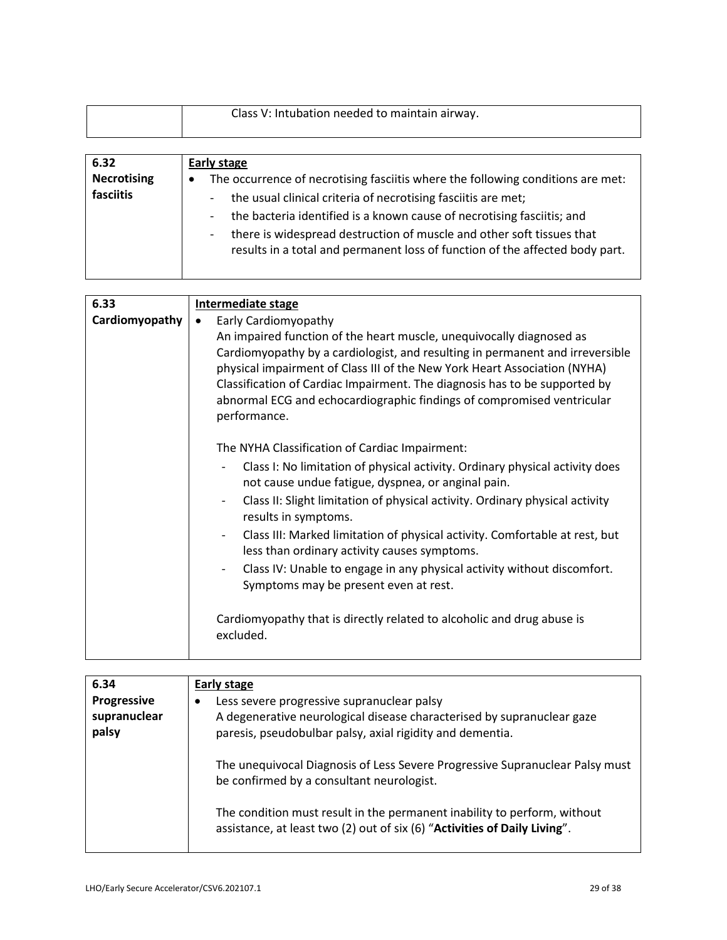|  | Class V: Intubation needed to maintain airway. |
|--|------------------------------------------------|
|--|------------------------------------------------|

| 6.32               | Early stage                                                                                                                                           |
|--------------------|-------------------------------------------------------------------------------------------------------------------------------------------------------|
| <b>Necrotising</b> | The occurrence of necrotising fasciitis where the following conditions are met:<br>$\bullet$                                                          |
| fasciitis          | the usual clinical criteria of necrotising fasciitis are met;                                                                                         |
|                    | the bacteria identified is a known cause of necrotising fasciitis; and                                                                                |
|                    | there is widespread destruction of muscle and other soft tissues that<br>results in a total and permanent loss of function of the affected body part. |

| 6.33           | <b>Intermediate stage</b>                                                                                                                                                                                                                                                                                                                                                                                                                                                                                                                                                                                                                                                                                           |
|----------------|---------------------------------------------------------------------------------------------------------------------------------------------------------------------------------------------------------------------------------------------------------------------------------------------------------------------------------------------------------------------------------------------------------------------------------------------------------------------------------------------------------------------------------------------------------------------------------------------------------------------------------------------------------------------------------------------------------------------|
| Cardiomyopathy | Early Cardiomyopathy<br>An impaired function of the heart muscle, unequivocally diagnosed as<br>Cardiomyopathy by a cardiologist, and resulting in permanent and irreversible<br>physical impairment of Class III of the New York Heart Association (NYHA)<br>Classification of Cardiac Impairment. The diagnosis has to be supported by<br>abnormal ECG and echocardiographic findings of compromised ventricular<br>performance.                                                                                                                                                                                                                                                                                  |
|                | The NYHA Classification of Cardiac Impairment:<br>Class I: No limitation of physical activity. Ordinary physical activity does<br>not cause undue fatigue, dyspnea, or anginal pain.<br>Class II: Slight limitation of physical activity. Ordinary physical activity<br>$\overline{\phantom{a}}$<br>results in symptoms.<br>Class III: Marked limitation of physical activity. Comfortable at rest, but<br>$\qquad \qquad -$<br>less than ordinary activity causes symptoms.<br>Class IV: Unable to engage in any physical activity without discomfort.<br>$\overline{\phantom{a}}$<br>Symptoms may be present even at rest.<br>Cardiomyopathy that is directly related to alcoholic and drug abuse is<br>excluded. |

| 6.34<br><b>Progressive</b><br>supranuclear<br>palsy | Early stage<br>Less severe progressive supranuclear palsy<br>٠<br>A degenerative neurological disease characterised by supranuclear gaze<br>paresis, pseudobulbar palsy, axial rigidity and dementia. |
|-----------------------------------------------------|-------------------------------------------------------------------------------------------------------------------------------------------------------------------------------------------------------|
|                                                     | The unequivocal Diagnosis of Less Severe Progressive Supranuclear Palsy must<br>be confirmed by a consultant neurologist.                                                                             |
|                                                     | The condition must result in the permanent inability to perform, without<br>assistance, at least two (2) out of six (6) "Activities of Daily Living".                                                 |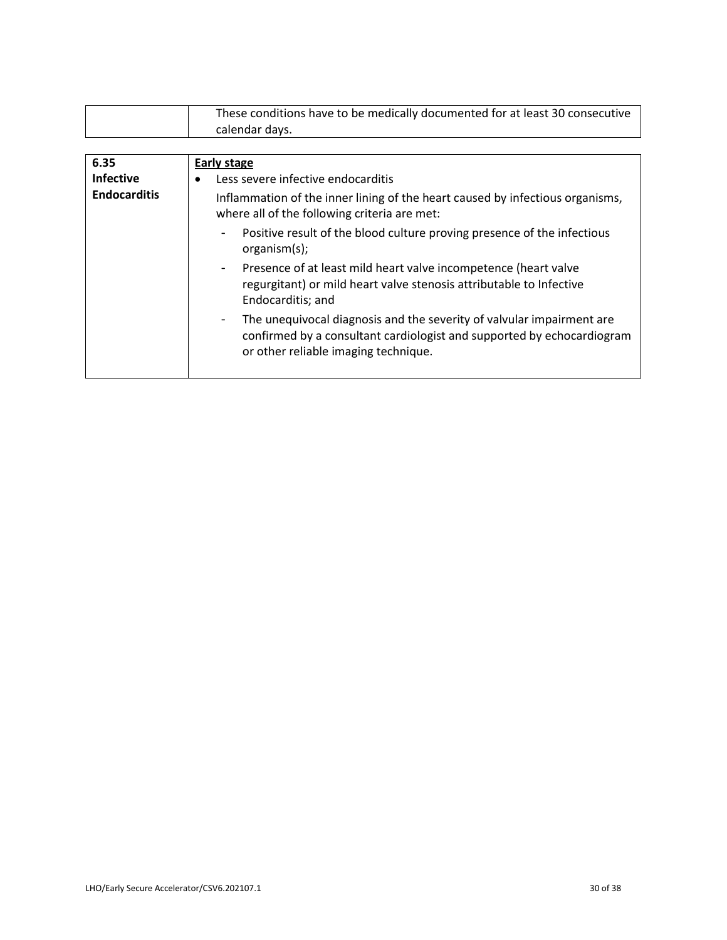| These conditions have to be medically documented for at least 30 consecutive |
|------------------------------------------------------------------------------|
| calendar days.                                                               |

| 6.35                | <b>Early stage</b>                                                                                                                                                                                        |
|---------------------|-----------------------------------------------------------------------------------------------------------------------------------------------------------------------------------------------------------|
| <b>Infective</b>    | Less severe infective endocarditis                                                                                                                                                                        |
| <b>Endocarditis</b> | Inflammation of the inner lining of the heart caused by infectious organisms,<br>where all of the following criteria are met:                                                                             |
|                     | Positive result of the blood culture proving presence of the infectious<br>$\blacksquare$<br>organism(s);                                                                                                 |
|                     | Presence of at least mild heart valve incompetence (heart valve<br>$\blacksquare$<br>regurgitant) or mild heart valve stenosis attributable to Infective<br>Endocarditis; and                             |
|                     | The unequivocal diagnosis and the severity of valvular impairment are<br>$\blacksquare$<br>confirmed by a consultant cardiologist and supported by echocardiogram<br>or other reliable imaging technique. |
|                     |                                                                                                                                                                                                           |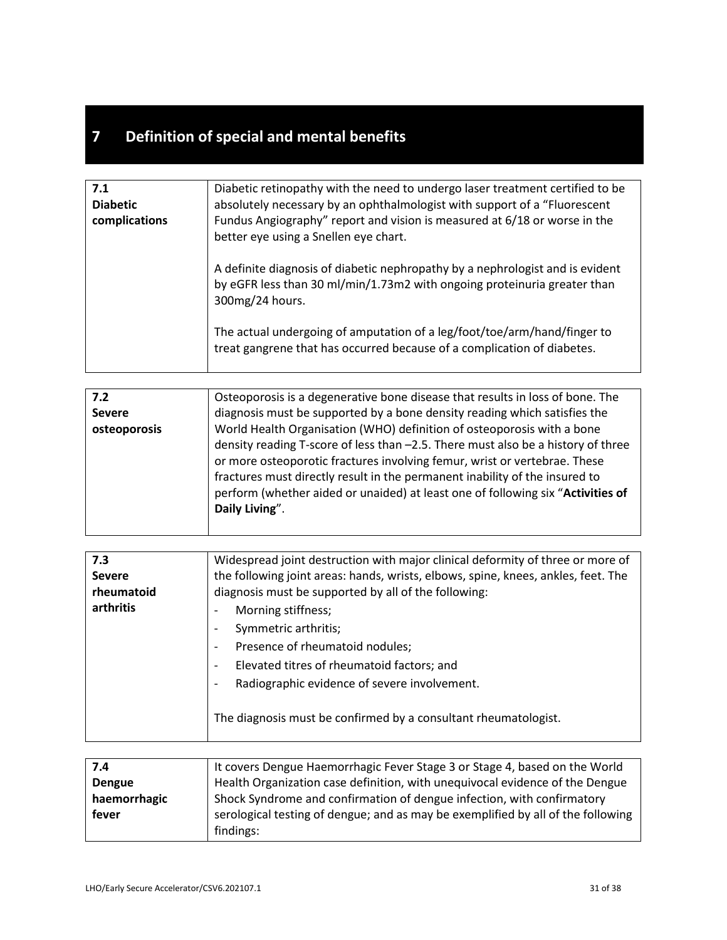## **7 Definition of special and mental benefits**

| 7.1             | Diabetic retinopathy with the need to undergo laser treatment certified to be                                                                                                |
|-----------------|------------------------------------------------------------------------------------------------------------------------------------------------------------------------------|
| <b>Diabetic</b> | absolutely necessary by an ophthalmologist with support of a "Fluorescent                                                                                                    |
| complications   | Fundus Angiography" report and vision is measured at 6/18 or worse in the<br>better eye using a Snellen eye chart.                                                           |
|                 | A definite diagnosis of diabetic nephropathy by a nephrologist and is evident<br>by eGFR less than 30 ml/min/1.73m2 with ongoing proteinuria greater than<br>300mg/24 hours. |
|                 | The actual undergoing of amputation of a leg/foot/toe/arm/hand/finger to<br>treat gangrene that has occurred because of a complication of diabetes.                          |

| 7.2           | Osteoporosis is a degenerative bone disease that results in loss of bone. The    |
|---------------|----------------------------------------------------------------------------------|
| <b>Severe</b> | diagnosis must be supported by a bone density reading which satisfies the        |
| osteoporosis  | World Health Organisation (WHO) definition of osteoporosis with a bone           |
|               | density reading T-score of less than -2.5. There must also be a history of three |
|               | or more osteoporotic fractures involving femur, wrist or vertebrae. These        |
|               | fractures must directly result in the permanent inability of the insured to      |
|               | perform (whether aided or unaided) at least one of following six "Activities of  |
|               | Daily Living".                                                                   |
|               |                                                                                  |

| 7.3           | Widespread joint destruction with major clinical deformity of three or more of    |
|---------------|-----------------------------------------------------------------------------------|
| <b>Severe</b> | the following joint areas: hands, wrists, elbows, spine, knees, ankles, feet. The |
| rheumatoid    | diagnosis must be supported by all of the following:                              |
| arthritis     | Morning stiffness;<br>$\overline{\phantom{a}}$                                    |
|               | Symmetric arthritis;<br>$\overline{\phantom{a}}$                                  |
|               | Presence of rheumatoid nodules;<br>$\overline{\phantom{a}}$                       |
|               | Elevated titres of rheumatoid factors; and<br>$\overline{\phantom{a}}$            |
|               | Radiographic evidence of severe involvement.                                      |
|               | The diagnosis must be confirmed by a consultant rheumatologist.                   |

| 7.4           | It covers Dengue Haemorrhagic Fever Stage 3 or Stage 4, based on the World       |
|---------------|----------------------------------------------------------------------------------|
| <b>Dengue</b> | Health Organization case definition, with unequivocal evidence of the Dengue     |
| haemorrhagic  | Shock Syndrome and confirmation of dengue infection, with confirmatory           |
| fever         | serological testing of dengue; and as may be exemplified by all of the following |
|               | findings:                                                                        |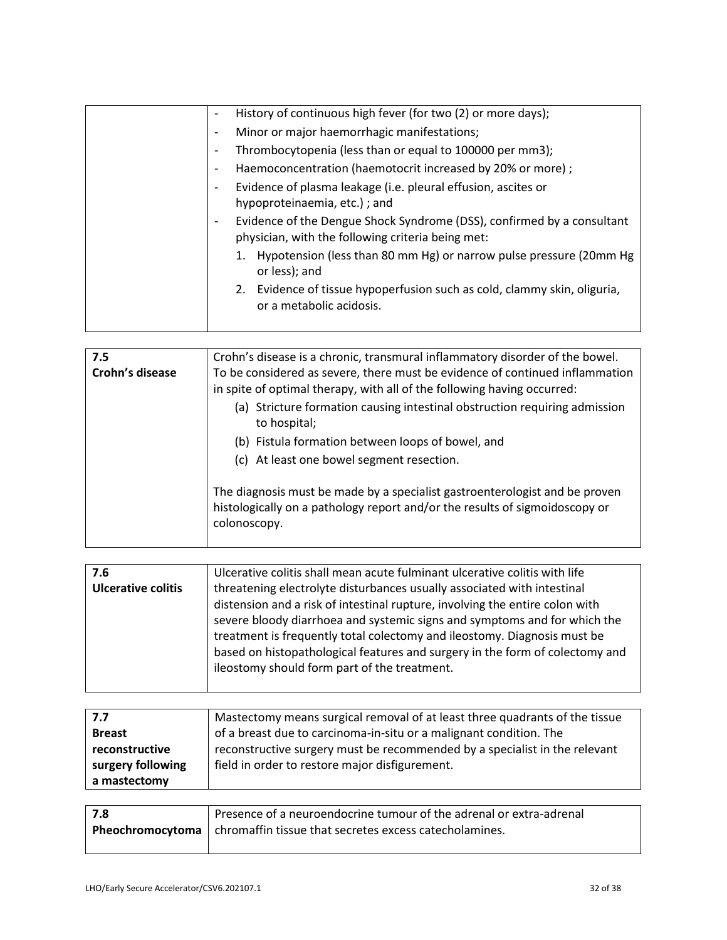| History of continuous high fever (for two (2) or more days);<br>$\overline{\phantom{a}}$                                                                |
|---------------------------------------------------------------------------------------------------------------------------------------------------------|
| Minor or major haemorrhagic manifestations;<br>$\overline{\phantom{a}}$                                                                                 |
| Thrombocytopenia (less than or equal to 100000 per mm3);<br>$\overline{\phantom{a}}$                                                                    |
| Haemoconcentration (haemotocrit increased by 20% or more);<br>$\overline{\phantom{a}}$                                                                  |
| Evidence of plasma leakage (i.e. pleural effusion, ascites or<br>$\overline{\phantom{a}}$<br>hypoproteinaemia, etc.); and                               |
| Evidence of the Dengue Shock Syndrome (DSS), confirmed by a consultant<br>$\overline{\phantom{a}}$<br>physician, with the following criteria being met: |
| Hypotension (less than 80 mm Hg) or narrow pulse pressure (20mm Hg<br>or less); and                                                                     |
| Evidence of tissue hypoperfusion such as cold, clammy skin, oliguria,<br>2.<br>or a metabolic acidosis.                                                 |
|                                                                                                                                                         |

| 7.5             | Crohn's disease is a chronic, transmural inflammatory disorder of the bowel.                                                                                               |
|-----------------|----------------------------------------------------------------------------------------------------------------------------------------------------------------------------|
| Crohn's disease | To be considered as severe, there must be evidence of continued inflammation<br>in spite of optimal therapy, with all of the following having occurred:                    |
|                 | (a) Stricture formation causing intestinal obstruction requiring admission<br>to hospital;                                                                                 |
|                 | (b) Fistula formation between loops of bowel, and                                                                                                                          |
|                 | (c) At least one bowel segment resection.                                                                                                                                  |
|                 | The diagnosis must be made by a specialist gastroenterologist and be proven<br>histologically on a pathology report and/or the results of sigmoidoscopy or<br>colonoscopy. |

| 7.6                       | Ulcerative colitis shall mean acute fulminant ulcerative colitis with life   |
|---------------------------|------------------------------------------------------------------------------|
| <b>Ulcerative colitis</b> | threatening electrolyte disturbances usually associated with intestinal      |
|                           | distension and a risk of intestinal rupture, involving the entire colon with |
|                           | severe bloody diarrhoea and systemic signs and symptoms and for which the    |
|                           | treatment is frequently total colectomy and ileostomy. Diagnosis must be     |
|                           | based on histopathological features and surgery in the form of colectomy and |
|                           | ileostomy should form part of the treatment.                                 |
|                           |                                                                              |

| 7.7               | Mastectomy means surgical removal of at least three quadrants of the tissue |
|-------------------|-----------------------------------------------------------------------------|
| <b>Breast</b>     | of a breast due to carcinoma-in-situ or a malignant condition. The          |
| reconstructive    | reconstructive surgery must be recommended by a specialist in the relevant  |
| surgery following | field in order to restore major disfigurement.                              |
| a mastectomy      |                                                                             |

| 7.8 | Presence of a neuroendocrine tumour of the adrenal or extra-adrenal               |
|-----|-----------------------------------------------------------------------------------|
|     | <b>Pheochromocytoma</b>   chromaffin tissue that secretes excess cate cholamines. |
|     |                                                                                   |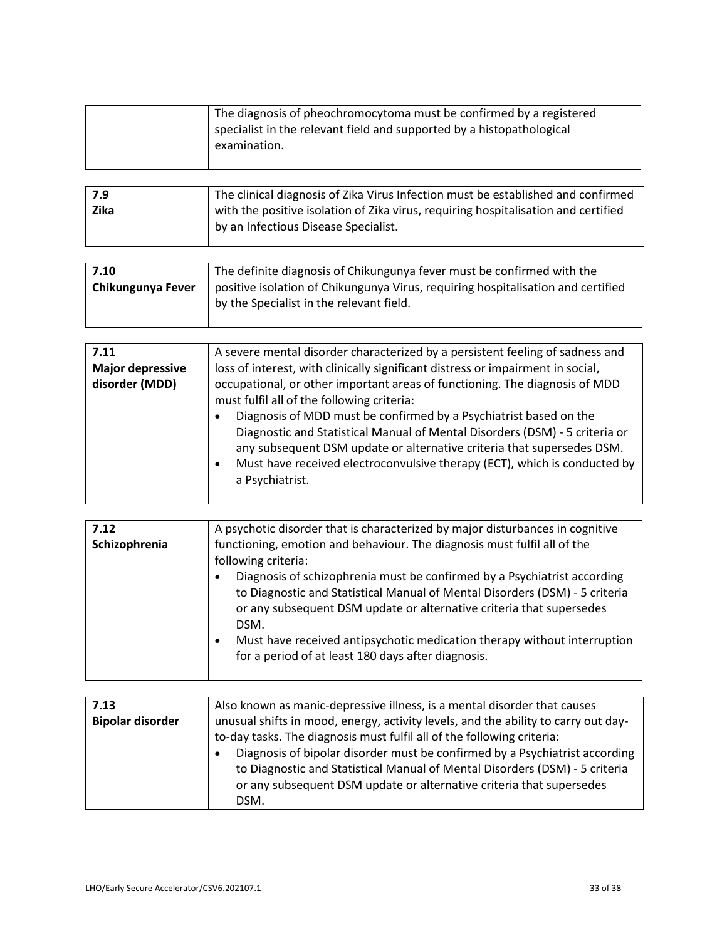|                                                   | The diagnosis of pheochromocytoma must be confirmed by a registered<br>specialist in the relevant field and supported by a histopathological<br>examination.                                                                                                                                                                                                                                                                                                                                                                                                                                                                          |
|---------------------------------------------------|---------------------------------------------------------------------------------------------------------------------------------------------------------------------------------------------------------------------------------------------------------------------------------------------------------------------------------------------------------------------------------------------------------------------------------------------------------------------------------------------------------------------------------------------------------------------------------------------------------------------------------------|
| 7.9<br><b>Zika</b>                                | The clinical diagnosis of Zika Virus Infection must be established and confirmed<br>with the positive isolation of Zika virus, requiring hospitalisation and certified<br>by an Infectious Disease Specialist.                                                                                                                                                                                                                                                                                                                                                                                                                        |
|                                                   |                                                                                                                                                                                                                                                                                                                                                                                                                                                                                                                                                                                                                                       |
| 7.10<br>Chikungunya Fever                         | The definite diagnosis of Chikungunya fever must be confirmed with the<br>positive isolation of Chikungunya Virus, requiring hospitalisation and certified<br>by the Specialist in the relevant field.                                                                                                                                                                                                                                                                                                                                                                                                                                |
|                                                   |                                                                                                                                                                                                                                                                                                                                                                                                                                                                                                                                                                                                                                       |
| 7.11<br><b>Major depressive</b><br>disorder (MDD) | A severe mental disorder characterized by a persistent feeling of sadness and<br>loss of interest, with clinically significant distress or impairment in social,<br>occupational, or other important areas of functioning. The diagnosis of MDD<br>must fulfil all of the following criteria:<br>Diagnosis of MDD must be confirmed by a Psychiatrist based on the<br>٠<br>Diagnostic and Statistical Manual of Mental Disorders (DSM) - 5 criteria or<br>any subsequent DSM update or alternative criteria that supersedes DSM.<br>Must have received electroconvulsive therapy (ECT), which is conducted by<br>٠<br>a Psychiatrist. |

| 7.12          | A psychotic disorder that is characterized by major disturbances in cognitive                                                                                                                                                                                                                                                                                                                                                                                                                          |
|---------------|--------------------------------------------------------------------------------------------------------------------------------------------------------------------------------------------------------------------------------------------------------------------------------------------------------------------------------------------------------------------------------------------------------------------------------------------------------------------------------------------------------|
| Schizophrenia | functioning, emotion and behaviour. The diagnosis must fulfil all of the<br>following criteria:<br>Diagnosis of schizophrenia must be confirmed by a Psychiatrist according<br>$\bullet$<br>to Diagnostic and Statistical Manual of Mental Disorders (DSM) - 5 criteria<br>or any subsequent DSM update or alternative criteria that supersedes<br>DSM.<br>Must have received antipsychotic medication therapy without interruption<br>$\bullet$<br>for a period of at least 180 days after diagnosis. |

| 7.13                    | Also known as manic-depressive illness, is a mental disorder that causes                 |
|-------------------------|------------------------------------------------------------------------------------------|
| <b>Bipolar disorder</b> | unusual shifts in mood, energy, activity levels, and the ability to carry out day-       |
|                         | to-day tasks. The diagnosis must fulfil all of the following criteria:                   |
|                         | Diagnosis of bipolar disorder must be confirmed by a Psychiatrist according<br>$\bullet$ |
|                         | to Diagnostic and Statistical Manual of Mental Disorders (DSM) - 5 criteria              |
|                         | or any subsequent DSM update or alternative criteria that supersedes                     |
|                         | DSM.                                                                                     |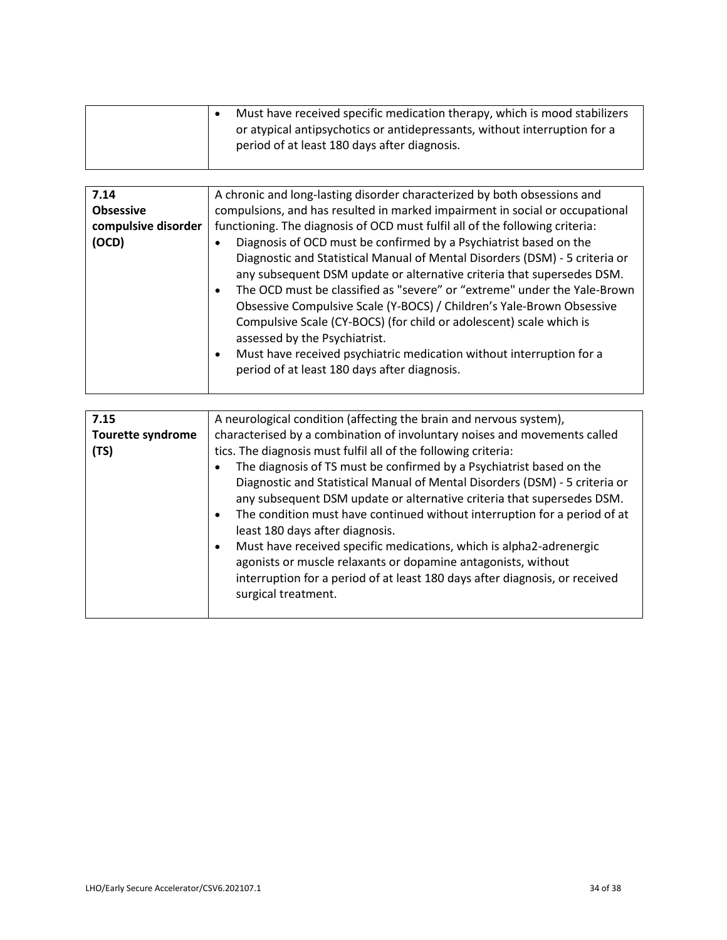|                              | Must have received specific medication therapy, which is mood stabilizers<br>$\bullet$<br>or atypical antipsychotics or antidepressants, without interruption for a<br>period of at least 180 days after diagnosis.                                                                                                                                                                                                                                                                                                                                                                                                                                                                                                                    |
|------------------------------|----------------------------------------------------------------------------------------------------------------------------------------------------------------------------------------------------------------------------------------------------------------------------------------------------------------------------------------------------------------------------------------------------------------------------------------------------------------------------------------------------------------------------------------------------------------------------------------------------------------------------------------------------------------------------------------------------------------------------------------|
|                              |                                                                                                                                                                                                                                                                                                                                                                                                                                                                                                                                                                                                                                                                                                                                        |
| 7.14                         | A chronic and long-lasting disorder characterized by both obsessions and                                                                                                                                                                                                                                                                                                                                                                                                                                                                                                                                                                                                                                                               |
| <b>Obsessive</b>             | compulsions, and has resulted in marked impairment in social or occupational                                                                                                                                                                                                                                                                                                                                                                                                                                                                                                                                                                                                                                                           |
| compulsive disorder<br>(OCD) | functioning. The diagnosis of OCD must fulfil all of the following criteria:<br>Diagnosis of OCD must be confirmed by a Psychiatrist based on the<br>$\bullet$<br>Diagnostic and Statistical Manual of Mental Disorders (DSM) - 5 criteria or<br>any subsequent DSM update or alternative criteria that supersedes DSM.<br>The OCD must be classified as "severe" or "extreme" under the Yale-Brown<br>$\bullet$<br>Obsessive Compulsive Scale (Y-BOCS) / Children's Yale-Brown Obsessive<br>Compulsive Scale (CY-BOCS) (for child or adolescent) scale which is<br>assessed by the Psychiatrist.<br>Must have received psychiatric medication without interruption for a<br>$\bullet$<br>period of at least 180 days after diagnosis. |
| 7.15                         | A neurological condition (affecting the brain and nervous system),                                                                                                                                                                                                                                                                                                                                                                                                                                                                                                                                                                                                                                                                     |
| <b>Tourette syndrome</b>     | characterised by a combination of involuntary noises and movements called                                                                                                                                                                                                                                                                                                                                                                                                                                                                                                                                                                                                                                                              |
| (TS)                         | tics. The diagnosis must fulfil all of the following criteria:                                                                                                                                                                                                                                                                                                                                                                                                                                                                                                                                                                                                                                                                         |
|                              | The diagnosis of TS must be confirmed by a Psychiatrist based on the<br>$\bullet$<br>Diagnostic and Statistical Manual of Mental Disorders (DSM) - 5 criteria or<br>any subsequent DSM update or alternative criteria that supersedes DSM.<br>The condition must have continued without interruption for a period of at<br>$\bullet$<br>least 180 days after diagnosis.<br>Must have received specific medications, which is alpha2-adrenergic<br>$\bullet$<br>agonists or muscle relaxants or dopamine antagonists, without<br>interruption for a period of at least 180 days after diagnosis, or received<br>surgical treatment.                                                                                                     |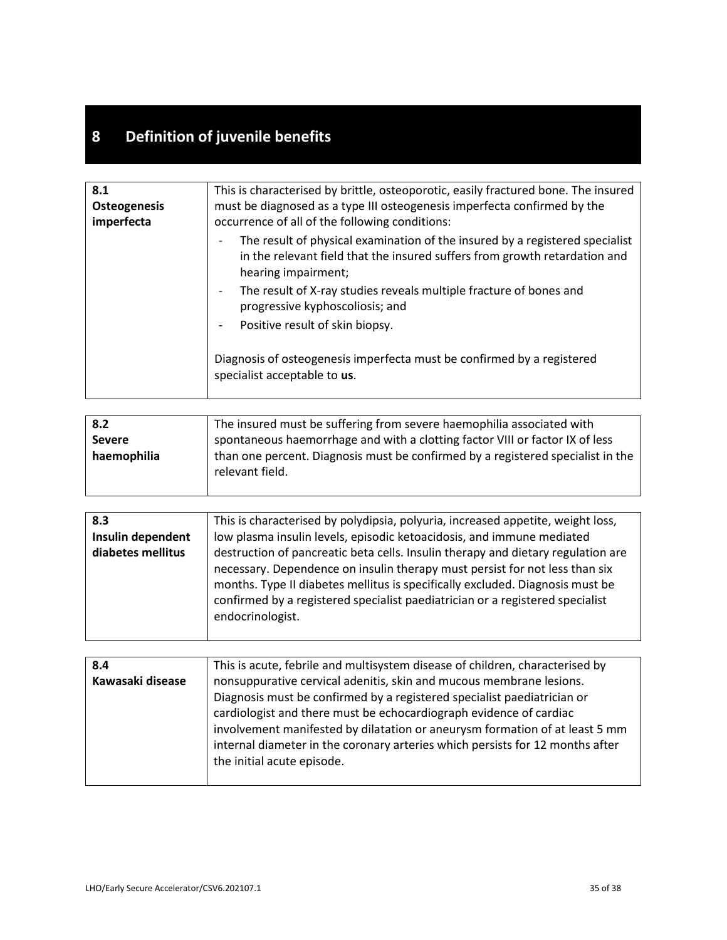## **8 Definition of juvenile benefits**

| 8.1                 | This is characterised by brittle, osteoporotic, easily fractured bone. The insured                                                                                                |
|---------------------|-----------------------------------------------------------------------------------------------------------------------------------------------------------------------------------|
| <b>Osteogenesis</b> | must be diagnosed as a type III osteogenesis imperfecta confirmed by the                                                                                                          |
| imperfecta          | occurrence of all of the following conditions:                                                                                                                                    |
|                     | The result of physical examination of the insured by a registered specialist<br>in the relevant field that the insured suffers from growth retardation and<br>hearing impairment; |
|                     | The result of X-ray studies reveals multiple fracture of bones and<br>progressive kyphoscoliosis; and                                                                             |
|                     | Positive result of skin biopsy.                                                                                                                                                   |
|                     | Diagnosis of osteogenesis imperfecta must be confirmed by a registered<br>specialist acceptable to us.                                                                            |

| 8.2           | The insured must be suffering from severe haemophilia associated with           |
|---------------|---------------------------------------------------------------------------------|
| <b>Severe</b> | spontaneous haemorrhage and with a clotting factor VIII or factor IX of less    |
| haemophilia   | than one percent. Diagnosis must be confirmed by a registered specialist in the |
|               | relevant field.                                                                 |
|               |                                                                                 |

| 8.3               | This is characterised by polydipsia, polyuria, increased appetite, weight loss,                                                                                                                                                                                   |
|-------------------|-------------------------------------------------------------------------------------------------------------------------------------------------------------------------------------------------------------------------------------------------------------------|
| Insulin dependent | low plasma insulin levels, episodic ketoacidosis, and immune mediated                                                                                                                                                                                             |
| diabetes mellitus | destruction of pancreatic beta cells. Insulin therapy and dietary regulation are                                                                                                                                                                                  |
|                   | necessary. Dependence on insulin therapy must persist for not less than six<br>months. Type II diabetes mellitus is specifically excluded. Diagnosis must be<br>confirmed by a registered specialist paediatrician or a registered specialist<br>endocrinologist. |

| 8.4              | This is acute, febrile and multisystem disease of children, characterised by  |
|------------------|-------------------------------------------------------------------------------|
| Kawasaki disease | nonsuppurative cervical adenitis, skin and mucous membrane lesions.           |
|                  | Diagnosis must be confirmed by a registered specialist paediatrician or       |
|                  | cardiologist and there must be echocardiograph evidence of cardiac            |
|                  | involvement manifested by dilatation or aneurysm formation of at least 5 mm   |
|                  | internal diameter in the coronary arteries which persists for 12 months after |
|                  | the initial acute episode.                                                    |
|                  |                                                                               |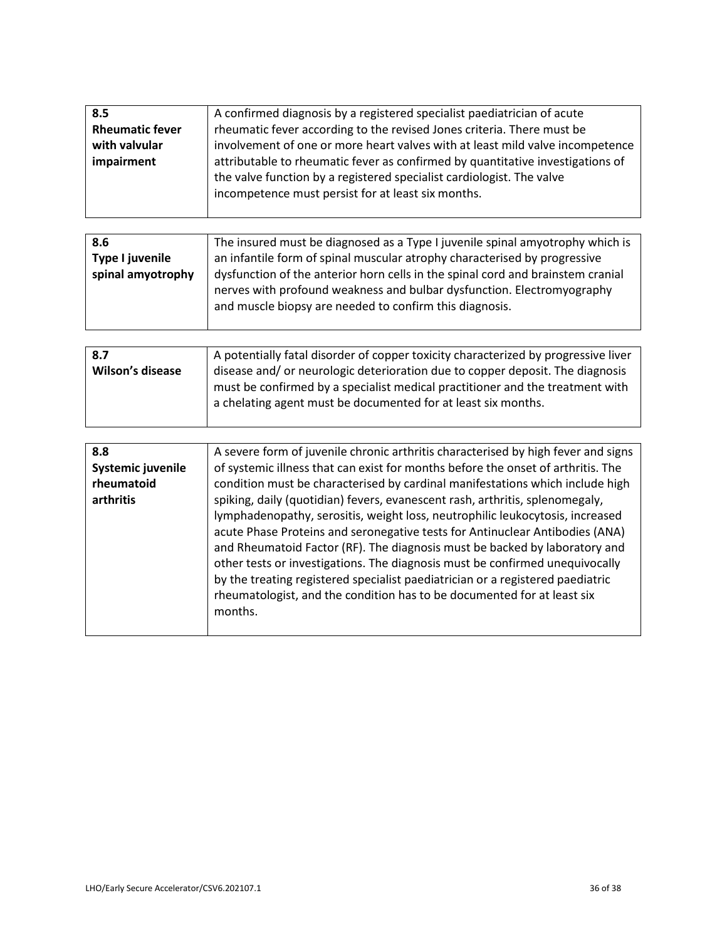| 8.5                    | A confirmed diagnosis by a registered specialist paediatrician of acute        |
|------------------------|--------------------------------------------------------------------------------|
| <b>Rheumatic fever</b> | rheumatic fever according to the revised Jones criteria. There must be         |
| with valvular          | involvement of one or more heart valves with at least mild valve incompetence  |
| impairment             | attributable to rheumatic fever as confirmed by quantitative investigations of |
|                        | the valve function by a registered specialist cardiologist. The valve          |
|                        | incompetence must persist for at least six months.                             |
|                        |                                                                                |

| 8.6               | The insured must be diagnosed as a Type I juvenile spinal amyotrophy which is   |
|-------------------|---------------------------------------------------------------------------------|
| Type I juvenile   | an infantile form of spinal muscular atrophy characterised by progressive       |
| spinal amyotrophy | dysfunction of the anterior horn cells in the spinal cord and brainstem cranial |
|                   | nerves with profound weakness and bulbar dysfunction. Electromyography          |
|                   | and muscle biopsy are needed to confirm this diagnosis.                         |
|                   |                                                                                 |

| 8.7              | A potentially fatal disorder of copper toxicity characterized by progressive liver |
|------------------|------------------------------------------------------------------------------------|
|                  |                                                                                    |
| Wilson's disease | disease and/ or neurologic deterioration due to copper deposit. The diagnosis      |
|                  | must be confirmed by a specialist medical practitioner and the treatment with      |
|                  | a chelating agent must be documented for at least six months.                      |
|                  |                                                                                    |

| 8.8               | A severe form of juvenile chronic arthritis characterised by high fever and signs |
|-------------------|-----------------------------------------------------------------------------------|
| Systemic juvenile | of systemic illness that can exist for months before the onset of arthritis. The  |
| rheumatoid        | condition must be characterised by cardinal manifestations which include high     |
| arthritis         | spiking, daily (quotidian) fevers, evanescent rash, arthritis, splenomegaly,      |
|                   | lymphadenopathy, serositis, weight loss, neutrophilic leukocytosis, increased     |
|                   | acute Phase Proteins and seronegative tests for Antinuclear Antibodies (ANA)      |
|                   | and Rheumatoid Factor (RF). The diagnosis must be backed by laboratory and        |
|                   | other tests or investigations. The diagnosis must be confirmed unequivocally      |
|                   | by the treating registered specialist paediatrician or a registered paediatric    |
|                   | rheumatologist, and the condition has to be documented for at least six           |
|                   | months.                                                                           |
|                   |                                                                                   |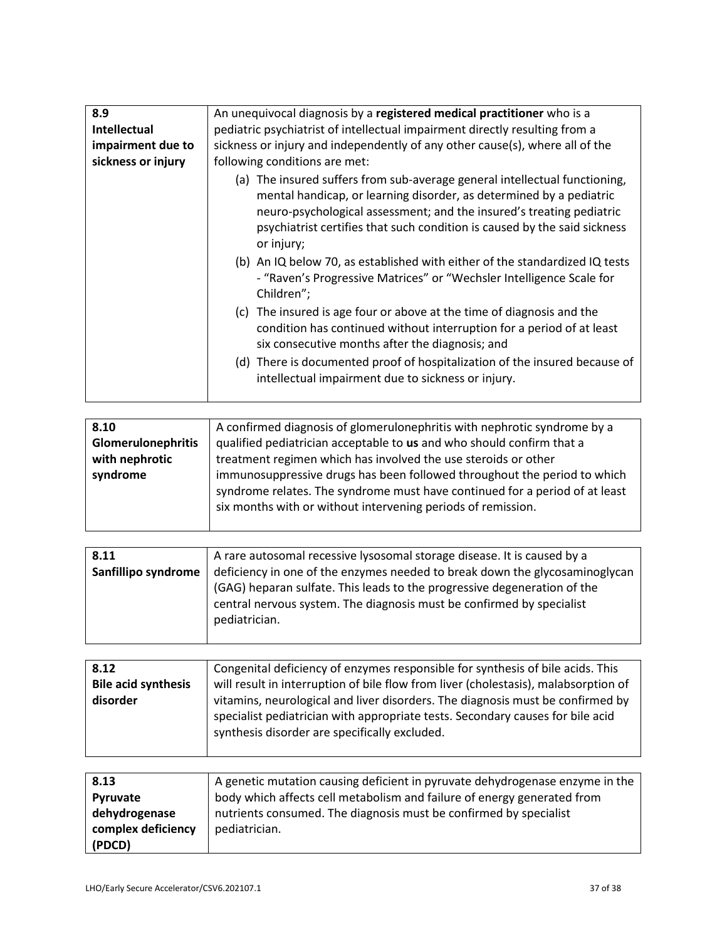| 8.9                | An unequivocal diagnosis by a registered medical practitioner who is a                                                                                                                                                                                                                                               |
|--------------------|----------------------------------------------------------------------------------------------------------------------------------------------------------------------------------------------------------------------------------------------------------------------------------------------------------------------|
| Intellectual       | pediatric psychiatrist of intellectual impairment directly resulting from a                                                                                                                                                                                                                                          |
| impairment due to  | sickness or injury and independently of any other cause(s), where all of the                                                                                                                                                                                                                                         |
| sickness or injury | following conditions are met:                                                                                                                                                                                                                                                                                        |
|                    | (a) The insured suffers from sub-average general intellectual functioning,<br>mental handicap, or learning disorder, as determined by a pediatric<br>neuro-psychological assessment; and the insured's treating pediatric<br>psychiatrist certifies that such condition is caused by the said sickness<br>or injury; |
|                    | (b) An IQ below 70, as established with either of the standardized IQ tests<br>- "Raven's Progressive Matrices" or "Wechsler Intelligence Scale for<br>Children";                                                                                                                                                    |
|                    | (c) The insured is age four or above at the time of diagnosis and the<br>condition has continued without interruption for a period of at least<br>six consecutive months after the diagnosis; and                                                                                                                    |
|                    | (d) There is documented proof of hospitalization of the insured because of<br>intellectual impairment due to sickness or injury.                                                                                                                                                                                     |

| 8.10                      | A confirmed diagnosis of glomerulonephritis with nephrotic syndrome by a                                                                                                                                                |
|---------------------------|-------------------------------------------------------------------------------------------------------------------------------------------------------------------------------------------------------------------------|
| <b>Glomerulonephritis</b> | qualified pediatrician acceptable to us and who should confirm that a                                                                                                                                                   |
| with nephrotic            | treatment regimen which has involved the use steroids or other                                                                                                                                                          |
| syndrome                  | immunosuppressive drugs has been followed throughout the period to which<br>syndrome relates. The syndrome must have continued for a period of at least<br>six months with or without intervening periods of remission. |

| 8.11                | A rare autosomal recessive lysosomal storage disease. It is caused by a     |
|---------------------|-----------------------------------------------------------------------------|
| Sanfillipo syndrome | deficiency in one of the enzymes needed to break down the glycosaminoglycan |
|                     | (GAG) heparan sulfate. This leads to the progressive degeneration of the    |
|                     | central nervous system. The diagnosis must be confirmed by specialist       |
|                     | pediatrician.                                                               |
|                     |                                                                             |

| 8.12                       | Congenital deficiency of enzymes responsible for synthesis of bile acids. This                                                                                                                                    |
|----------------------------|-------------------------------------------------------------------------------------------------------------------------------------------------------------------------------------------------------------------|
| <b>Bile acid synthesis</b> | will result in interruption of bile flow from liver (cholestasis), malabsorption of                                                                                                                               |
| disorder                   | vitamins, neurological and liver disorders. The diagnosis must be confirmed by<br>specialist pediatrician with appropriate tests. Secondary causes for bile acid<br>synthesis disorder are specifically excluded. |

| 8.13               | A genetic mutation causing deficient in pyruvate dehydrogenase enzyme in the |
|--------------------|------------------------------------------------------------------------------|
| Pyruvate           | body which affects cell metabolism and failure of energy generated from      |
| dehydrogenase      | nutrients consumed. The diagnosis must be confirmed by specialist            |
| complex deficiency | pediatrician.                                                                |
| (PDCD)             |                                                                              |